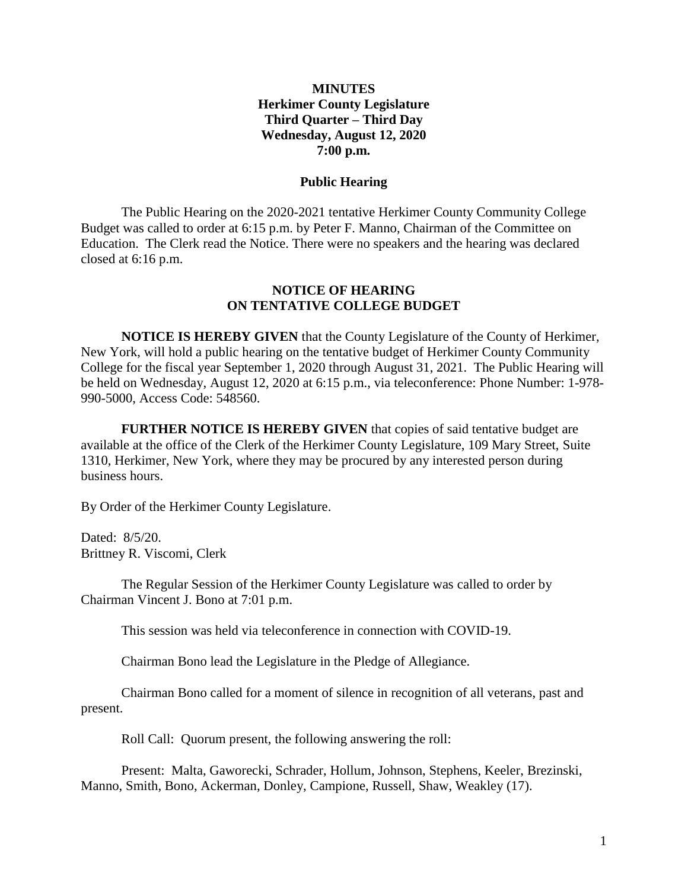## **MINUTES Herkimer County Legislature Third Quarter – Third Day Wednesday, August 12, 2020 7:00 p.m.**

#### **Public Hearing**

The Public Hearing on the 2020-2021 tentative Herkimer County Community College Budget was called to order at 6:15 p.m. by Peter F. Manno, Chairman of the Committee on Education. The Clerk read the Notice. There were no speakers and the hearing was declared closed at 6:16 p.m.

#### **NOTICE OF HEARING ON TENTATIVE COLLEGE BUDGET**

**NOTICE IS HEREBY GIVEN** that the County Legislature of the County of Herkimer, New York, will hold a public hearing on the tentative budget of Herkimer County Community College for the fiscal year September 1, 2020 through August 31, 2021. The Public Hearing will be held on Wednesday, August 12, 2020 at 6:15 p.m., via teleconference: Phone Number: 1-978- 990-5000, Access Code: 548560.

**FURTHER NOTICE IS HEREBY GIVEN** that copies of said tentative budget are available at the office of the Clerk of the Herkimer County Legislature, 109 Mary Street, Suite 1310, Herkimer, New York, where they may be procured by any interested person during business hours.

By Order of the Herkimer County Legislature.

Dated: 8/5/20. Brittney R. Viscomi, Clerk

The Regular Session of the Herkimer County Legislature was called to order by Chairman Vincent J. Bono at 7:01 p.m.

This session was held via teleconference in connection with COVID-19.

Chairman Bono lead the Legislature in the Pledge of Allegiance.

Chairman Bono called for a moment of silence in recognition of all veterans, past and present.

Roll Call: Quorum present, the following answering the roll:

Present: Malta, Gaworecki, Schrader, Hollum, Johnson, Stephens, Keeler, Brezinski, Manno, Smith, Bono, Ackerman, Donley, Campione, Russell, Shaw, Weakley (17).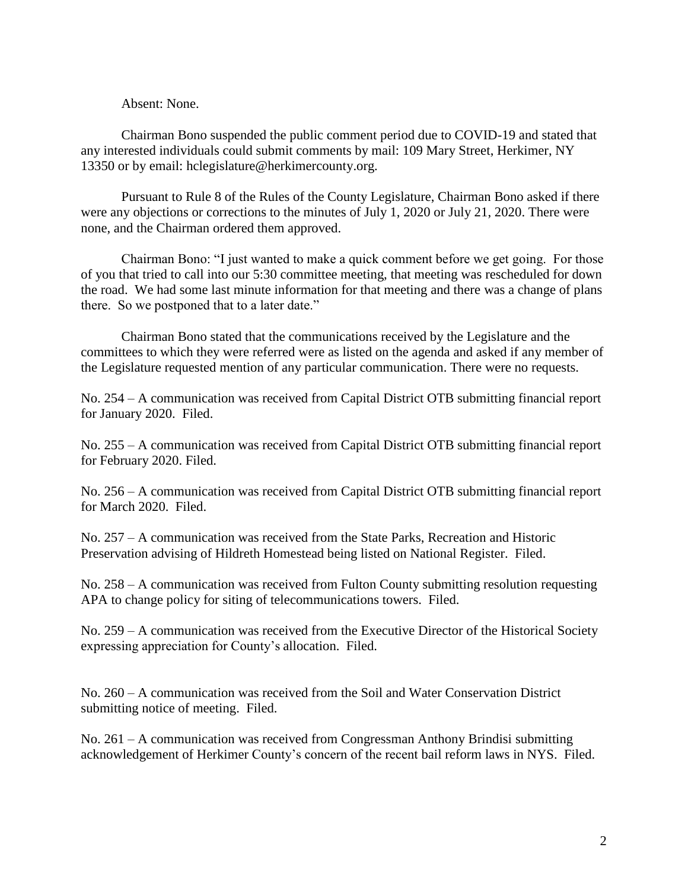#### Absent: None.

Chairman Bono suspended the public comment period due to COVID-19 and stated that any interested individuals could submit comments by mail: 109 Mary Street, Herkimer, NY 13350 or by email: hclegislature@herkimercounty.org.

Pursuant to Rule 8 of the Rules of the County Legislature, Chairman Bono asked if there were any objections or corrections to the minutes of July 1, 2020 or July 21, 2020. There were none, and the Chairman ordered them approved.

Chairman Bono: "I just wanted to make a quick comment before we get going. For those of you that tried to call into our 5:30 committee meeting, that meeting was rescheduled for down the road. We had some last minute information for that meeting and there was a change of plans there. So we postponed that to a later date."

Chairman Bono stated that the communications received by the Legislature and the committees to which they were referred were as listed on the agenda and asked if any member of the Legislature requested mention of any particular communication. There were no requests.

No. 254 – A communication was received from Capital District OTB submitting financial report for January 2020. Filed.

No. 255 – A communication was received from Capital District OTB submitting financial report for February 2020. Filed.

No. 256 – A communication was received from Capital District OTB submitting financial report for March 2020. Filed.

No. 257 – A communication was received from the State Parks, Recreation and Historic Preservation advising of Hildreth Homestead being listed on National Register. Filed.

No. 258 – A communication was received from Fulton County submitting resolution requesting APA to change policy for siting of telecommunications towers. Filed.

No. 259 – A communication was received from the Executive Director of the Historical Society expressing appreciation for County's allocation. Filed.

No. 260 – A communication was received from the Soil and Water Conservation District submitting notice of meeting. Filed.

No. 261 – A communication was received from Congressman Anthony Brindisi submitting acknowledgement of Herkimer County's concern of the recent bail reform laws in NYS. Filed.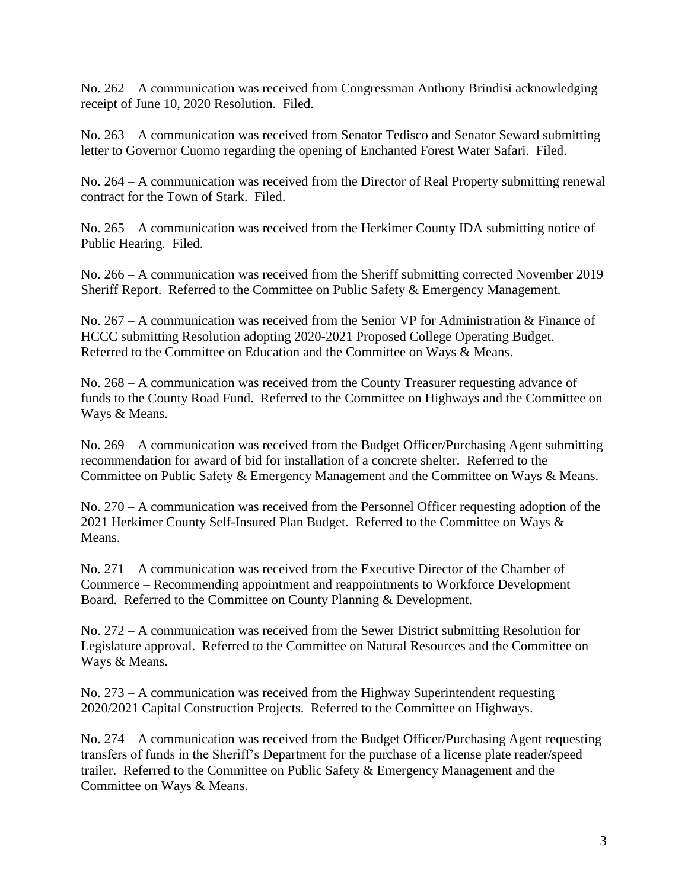No. 262 – A communication was received from Congressman Anthony Brindisi acknowledging receipt of June 10, 2020 Resolution. Filed.

No. 263 – A communication was received from Senator Tedisco and Senator Seward submitting letter to Governor Cuomo regarding the opening of Enchanted Forest Water Safari. Filed.

No. 264 – A communication was received from the Director of Real Property submitting renewal contract for the Town of Stark. Filed.

No. 265 – A communication was received from the Herkimer County IDA submitting notice of Public Hearing. Filed.

No. 266 – A communication was received from the Sheriff submitting corrected November 2019 Sheriff Report. Referred to the Committee on Public Safety & Emergency Management.

No. 267 – A communication was received from the Senior VP for Administration & Finance of HCCC submitting Resolution adopting 2020-2021 Proposed College Operating Budget. Referred to the Committee on Education and the Committee on Ways & Means.

No. 268 – A communication was received from the County Treasurer requesting advance of funds to the County Road Fund. Referred to the Committee on Highways and the Committee on Ways & Means.

No. 269 – A communication was received from the Budget Officer/Purchasing Agent submitting recommendation for award of bid for installation of a concrete shelter. Referred to the Committee on Public Safety & Emergency Management and the Committee on Ways & Means.

No. 270 – A communication was received from the Personnel Officer requesting adoption of the 2021 Herkimer County Self-Insured Plan Budget. Referred to the Committee on Ways & Means.

No. 271 – A communication was received from the Executive Director of the Chamber of Commerce – Recommending appointment and reappointments to Workforce Development Board. Referred to the Committee on County Planning & Development.

No. 272 – A communication was received from the Sewer District submitting Resolution for Legislature approval. Referred to the Committee on Natural Resources and the Committee on Ways & Means.

No. 273 – A communication was received from the Highway Superintendent requesting 2020/2021 Capital Construction Projects. Referred to the Committee on Highways.

No. 274 – A communication was received from the Budget Officer/Purchasing Agent requesting transfers of funds in the Sheriff's Department for the purchase of a license plate reader/speed trailer. Referred to the Committee on Public Safety & Emergency Management and the Committee on Ways & Means.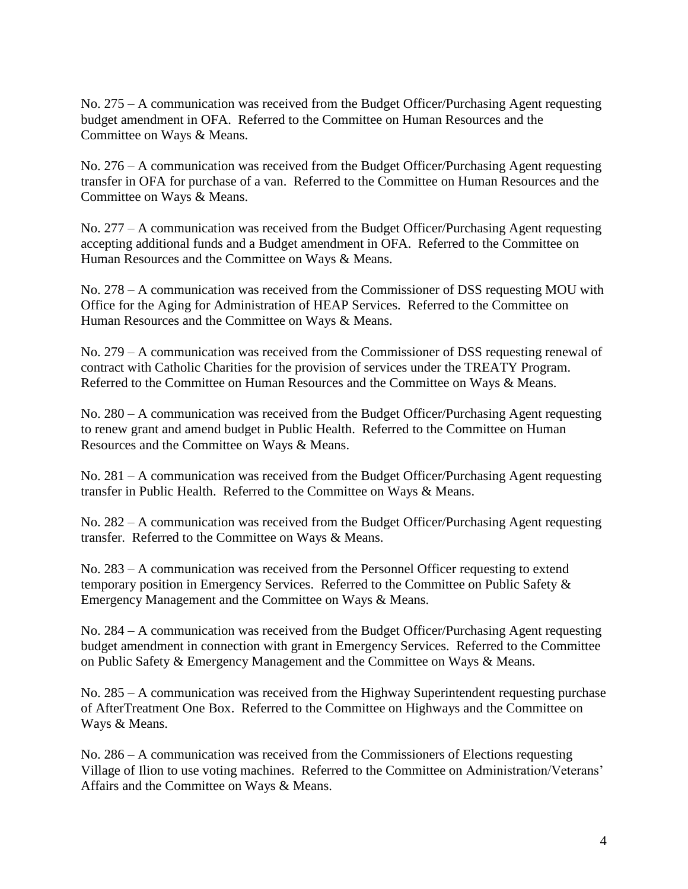No. 275 – A communication was received from the Budget Officer/Purchasing Agent requesting budget amendment in OFA. Referred to the Committee on Human Resources and the Committee on Ways & Means.

No. 276 – A communication was received from the Budget Officer/Purchasing Agent requesting transfer in OFA for purchase of a van. Referred to the Committee on Human Resources and the Committee on Ways & Means.

No. 277 – A communication was received from the Budget Officer/Purchasing Agent requesting accepting additional funds and a Budget amendment in OFA. Referred to the Committee on Human Resources and the Committee on Ways & Means.

No. 278 – A communication was received from the Commissioner of DSS requesting MOU with Office for the Aging for Administration of HEAP Services. Referred to the Committee on Human Resources and the Committee on Ways & Means.

No. 279 – A communication was received from the Commissioner of DSS requesting renewal of contract with Catholic Charities for the provision of services under the TREATY Program. Referred to the Committee on Human Resources and the Committee on Ways & Means.

No. 280 – A communication was received from the Budget Officer/Purchasing Agent requesting to renew grant and amend budget in Public Health. Referred to the Committee on Human Resources and the Committee on Ways & Means.

No. 281 – A communication was received from the Budget Officer/Purchasing Agent requesting transfer in Public Health. Referred to the Committee on Ways & Means.

No. 282 – A communication was received from the Budget Officer/Purchasing Agent requesting transfer. Referred to the Committee on Ways & Means.

No. 283 – A communication was received from the Personnel Officer requesting to extend temporary position in Emergency Services. Referred to the Committee on Public Safety & Emergency Management and the Committee on Ways & Means.

No. 284 – A communication was received from the Budget Officer/Purchasing Agent requesting budget amendment in connection with grant in Emergency Services. Referred to the Committee on Public Safety & Emergency Management and the Committee on Ways & Means.

No. 285 – A communication was received from the Highway Superintendent requesting purchase of AfterTreatment One Box. Referred to the Committee on Highways and the Committee on Ways & Means.

No. 286 – A communication was received from the Commissioners of Elections requesting Village of Ilion to use voting machines. Referred to the Committee on Administration/Veterans' Affairs and the Committee on Ways & Means.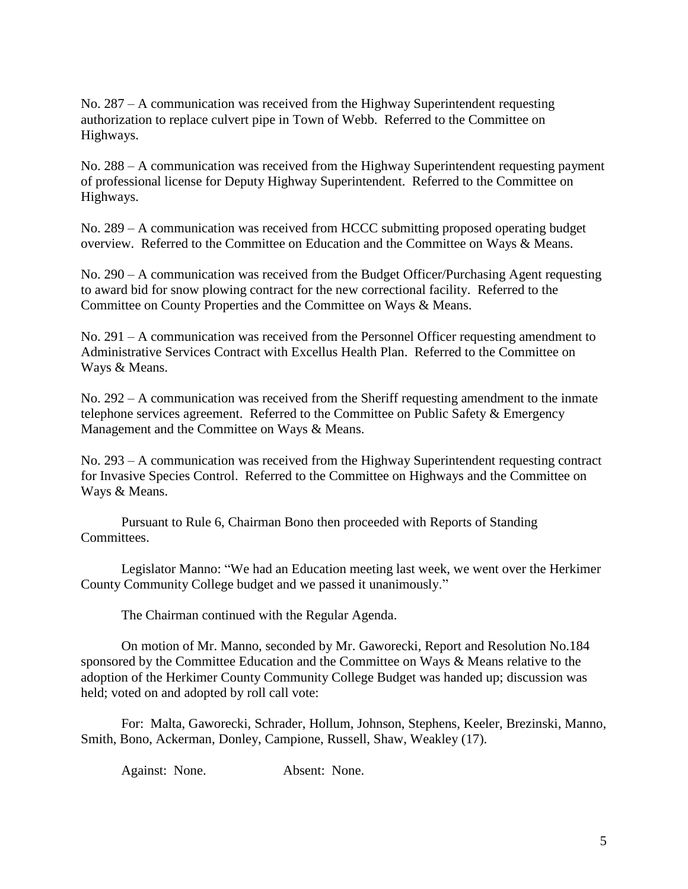No. 287 – A communication was received from the Highway Superintendent requesting authorization to replace culvert pipe in Town of Webb. Referred to the Committee on Highways.

No. 288 – A communication was received from the Highway Superintendent requesting payment of professional license for Deputy Highway Superintendent. Referred to the Committee on Highways.

No. 289 – A communication was received from HCCC submitting proposed operating budget overview. Referred to the Committee on Education and the Committee on Ways & Means.

No. 290 – A communication was received from the Budget Officer/Purchasing Agent requesting to award bid for snow plowing contract for the new correctional facility. Referred to the Committee on County Properties and the Committee on Ways & Means.

No. 291 – A communication was received from the Personnel Officer requesting amendment to Administrative Services Contract with Excellus Health Plan. Referred to the Committee on Ways & Means.

No. 292 – A communication was received from the Sheriff requesting amendment to the inmate telephone services agreement. Referred to the Committee on Public Safety & Emergency Management and the Committee on Ways & Means.

No. 293 – A communication was received from the Highway Superintendent requesting contract for Invasive Species Control. Referred to the Committee on Highways and the Committee on Ways & Means.

Pursuant to Rule 6, Chairman Bono then proceeded with Reports of Standing Committees.

Legislator Manno: "We had an Education meeting last week, we went over the Herkimer County Community College budget and we passed it unanimously."

The Chairman continued with the Regular Agenda.

On motion of Mr. Manno, seconded by Mr. Gaworecki, Report and Resolution No.184 sponsored by the Committee Education and the Committee on Ways & Means relative to the adoption of the Herkimer County Community College Budget was handed up; discussion was held; voted on and adopted by roll call vote:

For: Malta, Gaworecki, Schrader, Hollum, Johnson, Stephens, Keeler, Brezinski, Manno, Smith, Bono, Ackerman, Donley, Campione, Russell, Shaw, Weakley (17).

Against: None. Absent: None.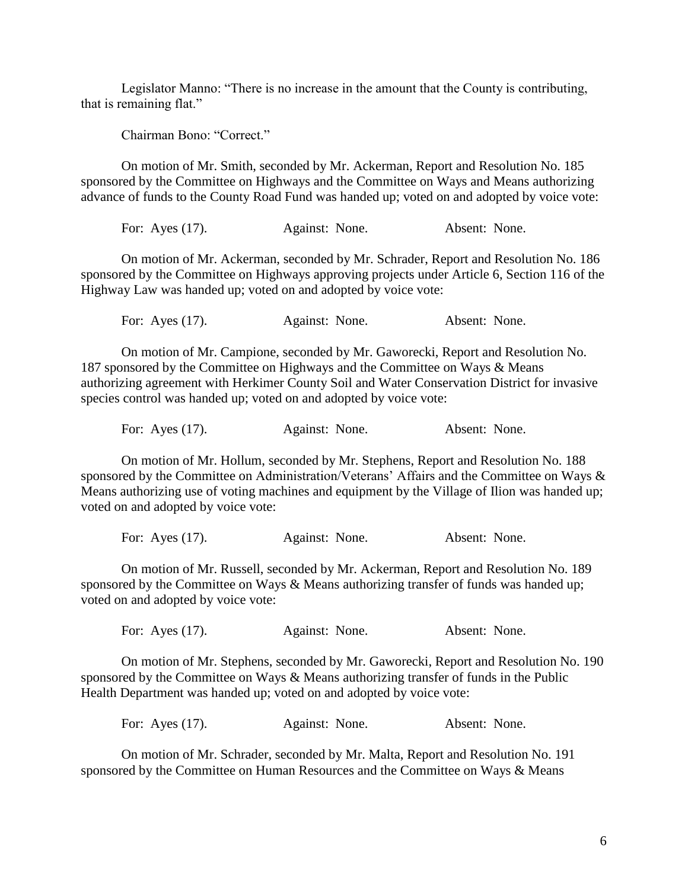Legislator Manno: "There is no increase in the amount that the County is contributing, that is remaining flat."

Chairman Bono: "Correct."

On motion of Mr. Smith, seconded by Mr. Ackerman, Report and Resolution No. 185 sponsored by the Committee on Highways and the Committee on Ways and Means authorizing advance of funds to the County Road Fund was handed up; voted on and adopted by voice vote:

For: Ayes (17). Against: None. Absent: None.

On motion of Mr. Ackerman, seconded by Mr. Schrader, Report and Resolution No. 186 sponsored by the Committee on Highways approving projects under Article 6, Section 116 of the Highway Law was handed up; voted on and adopted by voice vote:

For: Ayes (17). Against: None. Absent: None.

On motion of Mr. Campione, seconded by Mr. Gaworecki, Report and Resolution No. 187 sponsored by the Committee on Highways and the Committee on Ways & Means authorizing agreement with Herkimer County Soil and Water Conservation District for invasive species control was handed up; voted on and adopted by voice vote:

For: Ayes (17). Against: None. Absent: None.

On motion of Mr. Hollum, seconded by Mr. Stephens, Report and Resolution No. 188 sponsored by the Committee on Administration/Veterans' Affairs and the Committee on Ways & Means authorizing use of voting machines and equipment by the Village of Ilion was handed up; voted on and adopted by voice vote:

For: Ayes (17). Against: None. Absent: None.

On motion of Mr. Russell, seconded by Mr. Ackerman, Report and Resolution No. 189 sponsored by the Committee on Ways & Means authorizing transfer of funds was handed up; voted on and adopted by voice vote:

For: Ayes (17). Against: None. Absent: None.

On motion of Mr. Stephens, seconded by Mr. Gaworecki, Report and Resolution No. 190 sponsored by the Committee on Ways & Means authorizing transfer of funds in the Public Health Department was handed up; voted on and adopted by voice vote:

For: Ayes (17). Against: None. Absent: None.

On motion of Mr. Schrader, seconded by Mr. Malta, Report and Resolution No. 191 sponsored by the Committee on Human Resources and the Committee on Ways & Means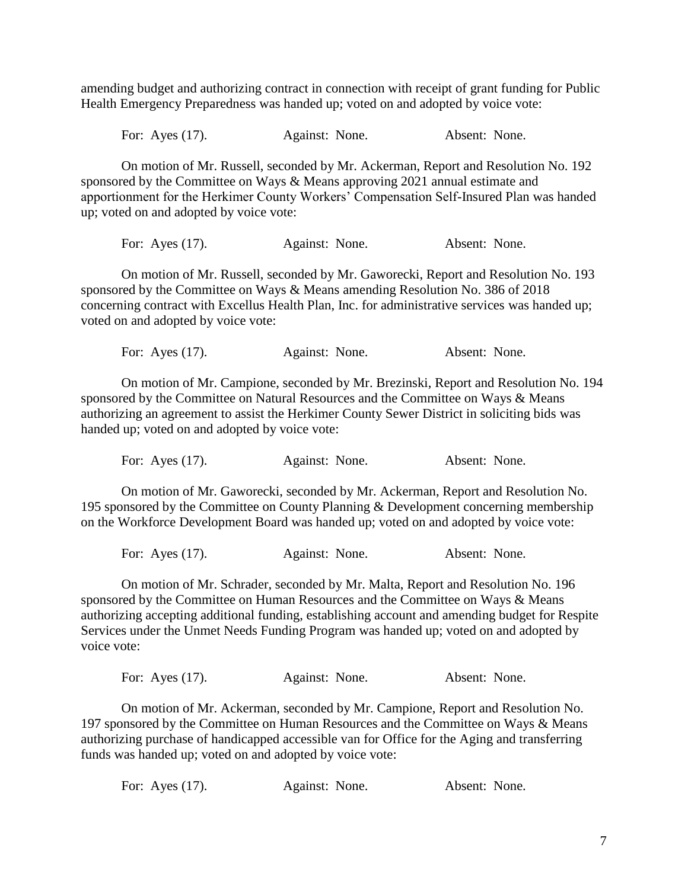amending budget and authorizing contract in connection with receipt of grant funding for Public Health Emergency Preparedness was handed up; voted on and adopted by voice vote:

For: Ayes (17). Against: None. Absent: None.

On motion of Mr. Russell, seconded by Mr. Ackerman, Report and Resolution No. 192 sponsored by the Committee on Ways & Means approving 2021 annual estimate and apportionment for the Herkimer County Workers' Compensation Self-Insured Plan was handed up; voted on and adopted by voice vote:

For: Ayes (17). Against: None. Absent: None.

On motion of Mr. Russell, seconded by Mr. Gaworecki, Report and Resolution No. 193 sponsored by the Committee on Ways & Means amending Resolution No. 386 of 2018 concerning contract with Excellus Health Plan, Inc. for administrative services was handed up; voted on and adopted by voice vote:

For: Ayes (17). Against: None. Absent: None.

On motion of Mr. Campione, seconded by Mr. Brezinski, Report and Resolution No. 194 sponsored by the Committee on Natural Resources and the Committee on Ways & Means authorizing an agreement to assist the Herkimer County Sewer District in soliciting bids was handed up; voted on and adopted by voice vote:

For: Ayes (17). Against: None. Absent: None.

On motion of Mr. Gaworecki, seconded by Mr. Ackerman, Report and Resolution No. 195 sponsored by the Committee on County Planning & Development concerning membership on the Workforce Development Board was handed up; voted on and adopted by voice vote:

For: Ayes (17). Against: None. Absent: None.

On motion of Mr. Schrader, seconded by Mr. Malta, Report and Resolution No. 196 sponsored by the Committee on Human Resources and the Committee on Ways & Means authorizing accepting additional funding, establishing account and amending budget for Respite Services under the Unmet Needs Funding Program was handed up; voted on and adopted by voice vote:

|  | For: Ayes $(17)$ . | Against: None. |  | Absent: None. |  |
|--|--------------------|----------------|--|---------------|--|
|--|--------------------|----------------|--|---------------|--|

On motion of Mr. Ackerman, seconded by Mr. Campione, Report and Resolution No. 197 sponsored by the Committee on Human Resources and the Committee on Ways & Means authorizing purchase of handicapped accessible van for Office for the Aging and transferring funds was handed up; voted on and adopted by voice vote: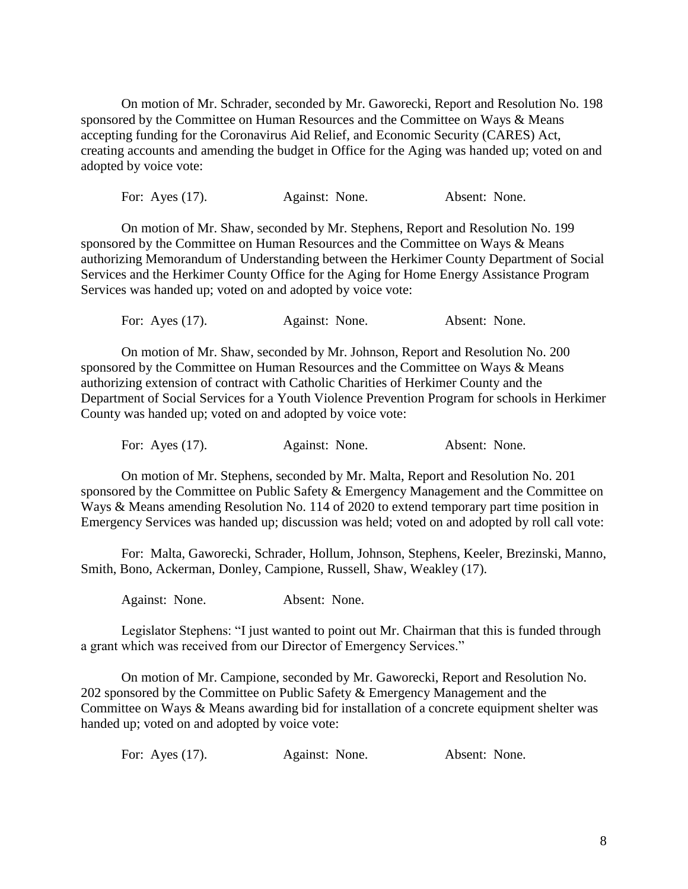On motion of Mr. Schrader, seconded by Mr. Gaworecki, Report and Resolution No. 198 sponsored by the Committee on Human Resources and the Committee on Ways & Means accepting funding for the Coronavirus Aid Relief, and Economic Security (CARES) Act, creating accounts and amending the budget in Office for the Aging was handed up; voted on and adopted by voice vote:

For: Ayes (17). Against: None. Absent: None.

On motion of Mr. Shaw, seconded by Mr. Stephens, Report and Resolution No. 199 sponsored by the Committee on Human Resources and the Committee on Ways & Means authorizing Memorandum of Understanding between the Herkimer County Department of Social Services and the Herkimer County Office for the Aging for Home Energy Assistance Program Services was handed up; voted on and adopted by voice vote:

For: Ayes (17). Against: None. Absent: None.

On motion of Mr. Shaw, seconded by Mr. Johnson, Report and Resolution No. 200 sponsored by the Committee on Human Resources and the Committee on Ways & Means authorizing extension of contract with Catholic Charities of Herkimer County and the Department of Social Services for a Youth Violence Prevention Program for schools in Herkimer County was handed up; voted on and adopted by voice vote:

For: Ayes (17). Against: None. Absent: None.

On motion of Mr. Stephens, seconded by Mr. Malta, Report and Resolution No. 201 sponsored by the Committee on Public Safety & Emergency Management and the Committee on Ways & Means amending Resolution No. 114 of 2020 to extend temporary part time position in Emergency Services was handed up; discussion was held; voted on and adopted by roll call vote:

For: Malta, Gaworecki, Schrader, Hollum, Johnson, Stephens, Keeler, Brezinski, Manno, Smith, Bono, Ackerman, Donley, Campione, Russell, Shaw, Weakley (17).

Against: None. Absent: None.

Legislator Stephens: "I just wanted to point out Mr. Chairman that this is funded through a grant which was received from our Director of Emergency Services."

On motion of Mr. Campione, seconded by Mr. Gaworecki, Report and Resolution No. 202 sponsored by the Committee on Public Safety & Emergency Management and the Committee on Ways & Means awarding bid for installation of a concrete equipment shelter was handed up; voted on and adopted by voice vote:

| For: Ayes $(17)$ .<br>Against: None. | Absent: None. |  |
|--------------------------------------|---------------|--|
|--------------------------------------|---------------|--|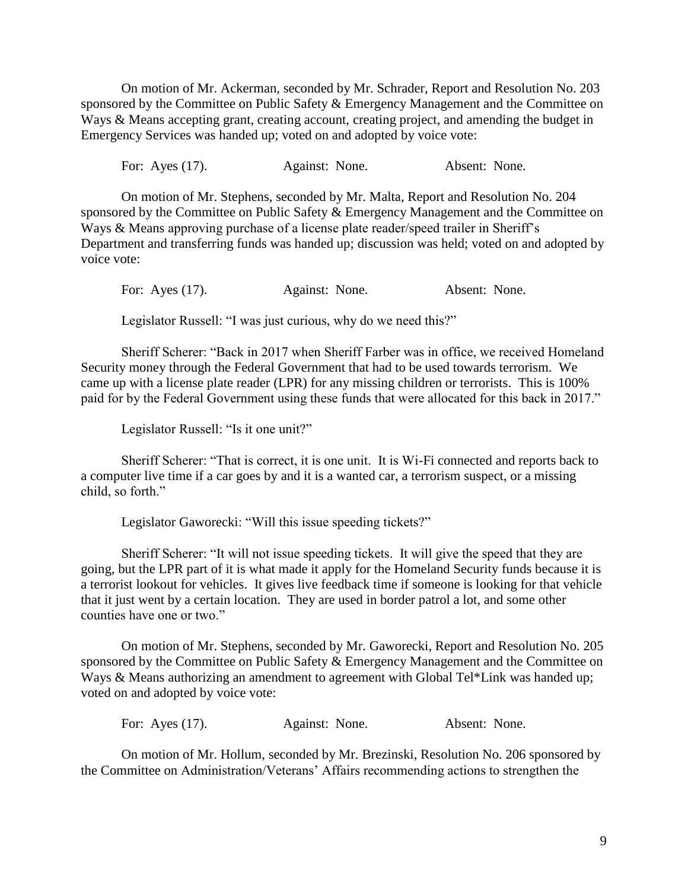On motion of Mr. Ackerman, seconded by Mr. Schrader, Report and Resolution No. 203 sponsored by the Committee on Public Safety & Emergency Management and the Committee on Ways & Means accepting grant, creating account, creating project, and amending the budget in Emergency Services was handed up; voted on and adopted by voice vote:

For: Ayes (17). Against: None. Absent: None.

On motion of Mr. Stephens, seconded by Mr. Malta, Report and Resolution No. 204 sponsored by the Committee on Public Safety & Emergency Management and the Committee on Ways & Means approving purchase of a license plate reader/speed trailer in Sheriff's Department and transferring funds was handed up; discussion was held; voted on and adopted by voice vote:

For: Ayes (17). Against: None. Absent: None.

Legislator Russell: "I was just curious, why do we need this?"

Sheriff Scherer: "Back in 2017 when Sheriff Farber was in office, we received Homeland Security money through the Federal Government that had to be used towards terrorism. We came up with a license plate reader (LPR) for any missing children or terrorists. This is 100% paid for by the Federal Government using these funds that were allocated for this back in 2017."

Legislator Russell: "Is it one unit?"

Sheriff Scherer: "That is correct, it is one unit. It is Wi-Fi connected and reports back to a computer live time if a car goes by and it is a wanted car, a terrorism suspect, or a missing child, so forth."

Legislator Gaworecki: "Will this issue speeding tickets?"

Sheriff Scherer: "It will not issue speeding tickets. It will give the speed that they are going, but the LPR part of it is what made it apply for the Homeland Security funds because it is a terrorist lookout for vehicles. It gives live feedback time if someone is looking for that vehicle that it just went by a certain location. They are used in border patrol a lot, and some other counties have one or two."

On motion of Mr. Stephens, seconded by Mr. Gaworecki, Report and Resolution No. 205 sponsored by the Committee on Public Safety & Emergency Management and the Committee on Ways & Means authorizing an amendment to agreement with Global Tel\*Link was handed up; voted on and adopted by voice vote:

For: Ayes (17). Against: None. Absent: None.

On motion of Mr. Hollum, seconded by Mr. Brezinski, Resolution No. 206 sponsored by the Committee on Administration/Veterans' Affairs recommending actions to strengthen the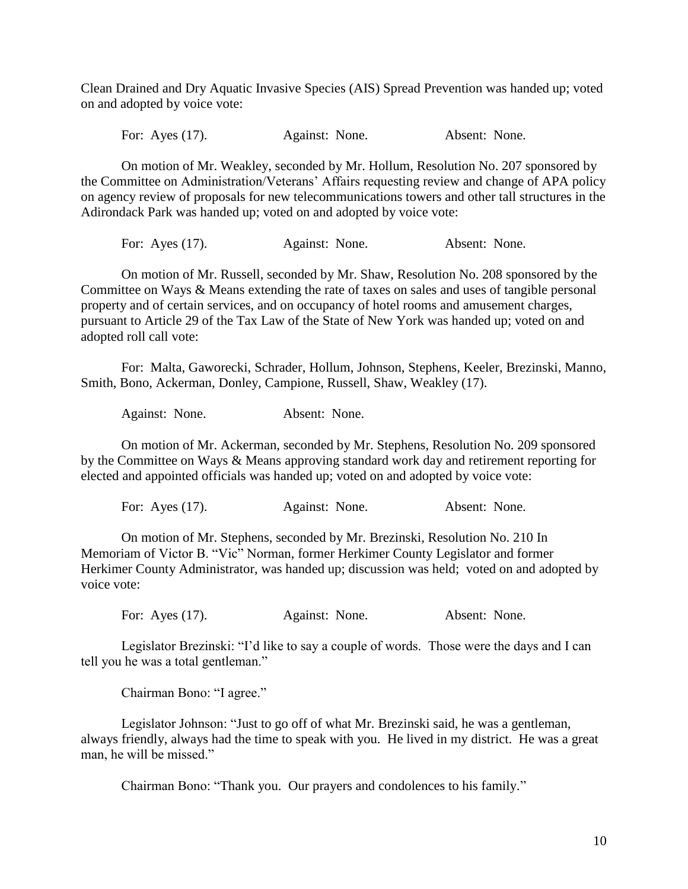Clean Drained and Dry Aquatic Invasive Species (AIS) Spread Prevention was handed up; voted on and adopted by voice vote:

For: Ayes (17). Against: None. Absent: None.

On motion of Mr. Weakley, seconded by Mr. Hollum, Resolution No. 207 sponsored by the Committee on Administration/Veterans' Affairs requesting review and change of APA policy on agency review of proposals for new telecommunications towers and other tall structures in the Adirondack Park was handed up; voted on and adopted by voice vote:

For: Ayes (17). Against: None. Absent: None.

On motion of Mr. Russell, seconded by Mr. Shaw, Resolution No. 208 sponsored by the Committee on Ways & Means extending the rate of taxes on sales and uses of tangible personal property and of certain services, and on occupancy of hotel rooms and amusement charges, pursuant to Article 29 of the Tax Law of the State of New York was handed up; voted on and adopted roll call vote:

For: Malta, Gaworecki, Schrader, Hollum, Johnson, Stephens, Keeler, Brezinski, Manno, Smith, Bono, Ackerman, Donley, Campione, Russell, Shaw, Weakley (17).

Against: None. Absent: None.

On motion of Mr. Ackerman, seconded by Mr. Stephens, Resolution No. 209 sponsored by the Committee on Ways & Means approving standard work day and retirement reporting for elected and appointed officials was handed up; voted on and adopted by voice vote:

For: Ayes (17). Against: None. Absent: None.

On motion of Mr. Stephens, seconded by Mr. Brezinski, Resolution No. 210 In Memoriam of Victor B. "Vic" Norman, former Herkimer County Legislator and former Herkimer County Administrator, was handed up; discussion was held; voted on and adopted by voice vote:

For: Ayes (17). Against: None. Absent: None.

Legislator Brezinski: "I'd like to say a couple of words. Those were the days and I can tell you he was a total gentleman."

Chairman Bono: "I agree."

Legislator Johnson: "Just to go off of what Mr. Brezinski said, he was a gentleman, always friendly, always had the time to speak with you. He lived in my district. He was a great man, he will be missed."

Chairman Bono: "Thank you. Our prayers and condolences to his family."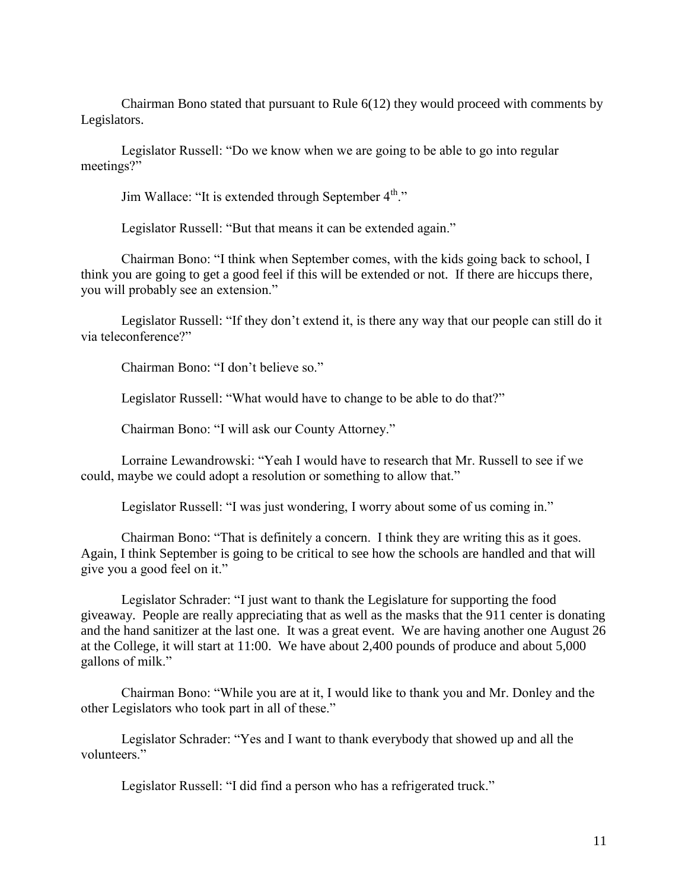Chairman Bono stated that pursuant to Rule 6(12) they would proceed with comments by Legislators.

Legislator Russell: "Do we know when we are going to be able to go into regular meetings?"

Jim Wallace: "It is extended through September 4<sup>th</sup>."

Legislator Russell: "But that means it can be extended again."

Chairman Bono: "I think when September comes, with the kids going back to school, I think you are going to get a good feel if this will be extended or not. If there are hiccups there, you will probably see an extension."

Legislator Russell: "If they don't extend it, is there any way that our people can still do it via teleconference?"

Chairman Bono: "I don't believe so."

Legislator Russell: "What would have to change to be able to do that?"

Chairman Bono: "I will ask our County Attorney."

Lorraine Lewandrowski: "Yeah I would have to research that Mr. Russell to see if we could, maybe we could adopt a resolution or something to allow that."

Legislator Russell: "I was just wondering, I worry about some of us coming in."

Chairman Bono: "That is definitely a concern. I think they are writing this as it goes. Again, I think September is going to be critical to see how the schools are handled and that will give you a good feel on it."

Legislator Schrader: "I just want to thank the Legislature for supporting the food giveaway. People are really appreciating that as well as the masks that the 911 center is donating and the hand sanitizer at the last one. It was a great event. We are having another one August 26 at the College, it will start at 11:00. We have about 2,400 pounds of produce and about 5,000 gallons of milk."

Chairman Bono: "While you are at it, I would like to thank you and Mr. Donley and the other Legislators who took part in all of these."

Legislator Schrader: "Yes and I want to thank everybody that showed up and all the volunteers."

Legislator Russell: "I did find a person who has a refrigerated truck."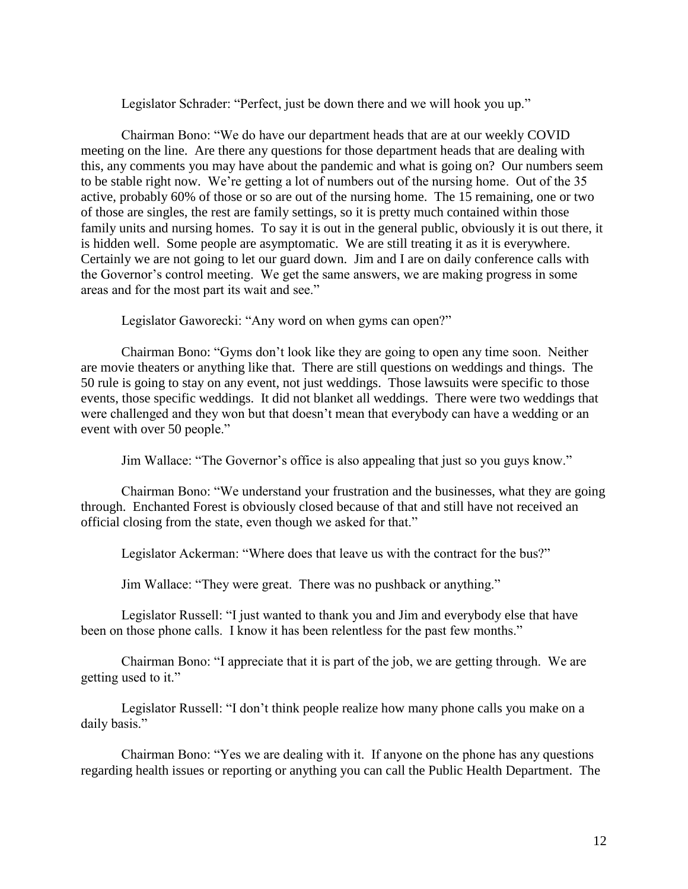Legislator Schrader: "Perfect, just be down there and we will hook you up."

Chairman Bono: "We do have our department heads that are at our weekly COVID meeting on the line. Are there any questions for those department heads that are dealing with this, any comments you may have about the pandemic and what is going on? Our numbers seem to be stable right now. We're getting a lot of numbers out of the nursing home. Out of the 35 active, probably 60% of those or so are out of the nursing home. The 15 remaining, one or two of those are singles, the rest are family settings, so it is pretty much contained within those family units and nursing homes. To say it is out in the general public, obviously it is out there, it is hidden well. Some people are asymptomatic. We are still treating it as it is everywhere. Certainly we are not going to let our guard down. Jim and I are on daily conference calls with the Governor's control meeting. We get the same answers, we are making progress in some areas and for the most part its wait and see."

Legislator Gaworecki: "Any word on when gyms can open?"

Chairman Bono: "Gyms don't look like they are going to open any time soon. Neither are movie theaters or anything like that. There are still questions on weddings and things. The 50 rule is going to stay on any event, not just weddings. Those lawsuits were specific to those events, those specific weddings. It did not blanket all weddings. There were two weddings that were challenged and they won but that doesn't mean that everybody can have a wedding or an event with over 50 people."

Jim Wallace: "The Governor's office is also appealing that just so you guys know."

Chairman Bono: "We understand your frustration and the businesses, what they are going through. Enchanted Forest is obviously closed because of that and still have not received an official closing from the state, even though we asked for that."

Legislator Ackerman: "Where does that leave us with the contract for the bus?"

Jim Wallace: "They were great. There was no pushback or anything."

Legislator Russell: "I just wanted to thank you and Jim and everybody else that have been on those phone calls. I know it has been relentless for the past few months."

Chairman Bono: "I appreciate that it is part of the job, we are getting through. We are getting used to it."

Legislator Russell: "I don't think people realize how many phone calls you make on a daily basis."

Chairman Bono: "Yes we are dealing with it. If anyone on the phone has any questions regarding health issues or reporting or anything you can call the Public Health Department. The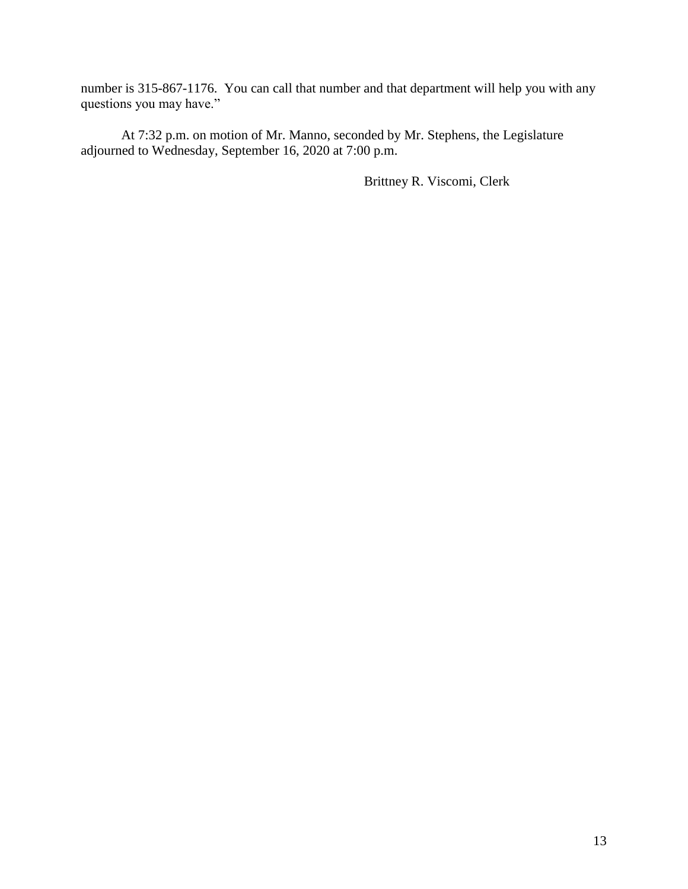number is 315-867-1176. You can call that number and that department will help you with any questions you may have."

At 7:32 p.m. on motion of Mr. Manno, seconded by Mr. Stephens, the Legislature adjourned to Wednesday, September 16, 2020 at 7:00 p.m.

Brittney R. Viscomi, Clerk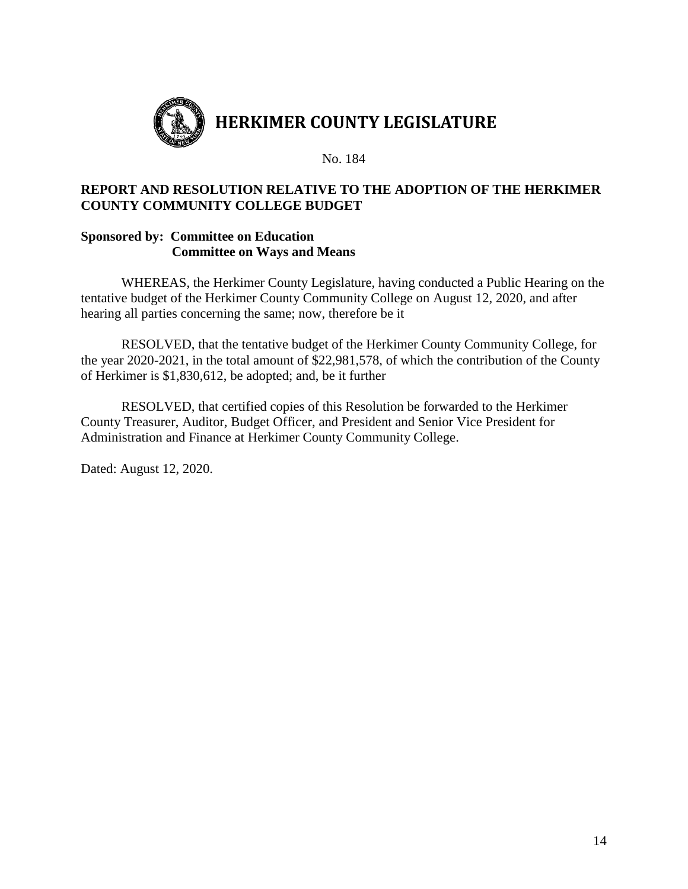

## **REPORT AND RESOLUTION RELATIVE TO THE ADOPTION OF THE HERKIMER COUNTY COMMUNITY COLLEGE BUDGET**

## **Sponsored by: Committee on Education Committee on Ways and Means**

WHEREAS, the Herkimer County Legislature, having conducted a Public Hearing on the tentative budget of the Herkimer County Community College on August 12, 2020, and after hearing all parties concerning the same; now, therefore be it

RESOLVED, that the tentative budget of the Herkimer County Community College, for the year 2020-2021, in the total amount of \$22,981,578, of which the contribution of the County of Herkimer is \$1,830,612, be adopted; and, be it further

RESOLVED, that certified copies of this Resolution be forwarded to the Herkimer County Treasurer, Auditor, Budget Officer, and President and Senior Vice President for Administration and Finance at Herkimer County Community College.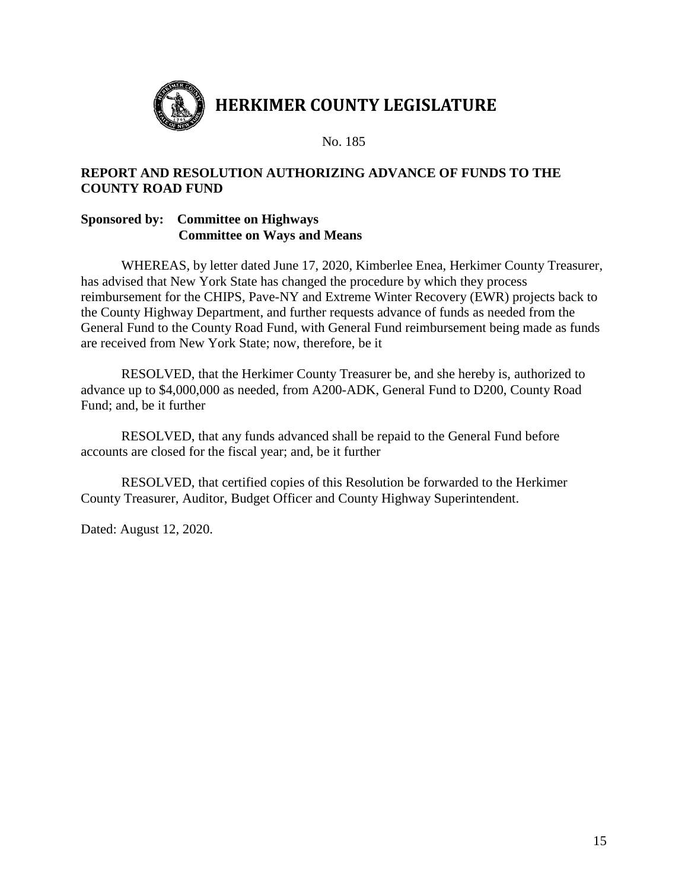

## **REPORT AND RESOLUTION AUTHORIZING ADVANCE OF FUNDS TO THE COUNTY ROAD FUND**

## **Sponsored by: Committee on Highways Committee on Ways and Means**

WHEREAS, by letter dated June 17, 2020, Kimberlee Enea, Herkimer County Treasurer, has advised that New York State has changed the procedure by which they process reimbursement for the CHIPS, Pave-NY and Extreme Winter Recovery (EWR) projects back to the County Highway Department, and further requests advance of funds as needed from the General Fund to the County Road Fund, with General Fund reimbursement being made as funds are received from New York State; now, therefore, be it

RESOLVED, that the Herkimer County Treasurer be, and she hereby is, authorized to advance up to \$4,000,000 as needed, from A200-ADK, General Fund to D200, County Road Fund; and, be it further

RESOLVED, that any funds advanced shall be repaid to the General Fund before accounts are closed for the fiscal year; and, be it further

RESOLVED, that certified copies of this Resolution be forwarded to the Herkimer County Treasurer, Auditor, Budget Officer and County Highway Superintendent.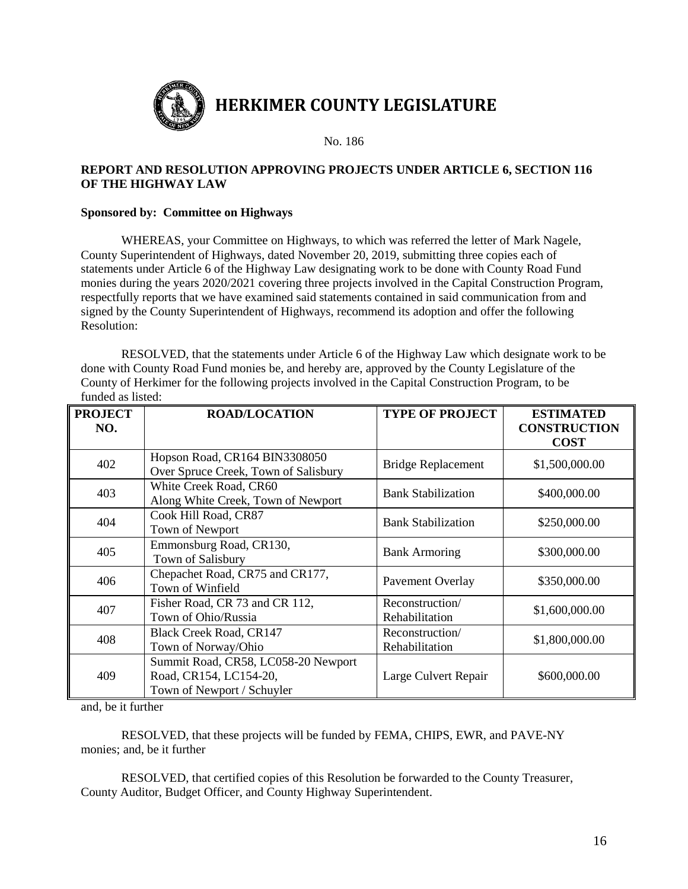

#### **REPORT AND RESOLUTION APPROVING PROJECTS UNDER ARTICLE 6, SECTION 116 OF THE HIGHWAY LAW**

#### **Sponsored by: Committee on Highways**

WHEREAS, your Committee on Highways, to which was referred the letter of Mark Nagele, County Superintendent of Highways, dated November 20, 2019, submitting three copies each of statements under Article 6 of the Highway Law designating work to be done with County Road Fund monies during the years 2020/2021 covering three projects involved in the Capital Construction Program, respectfully reports that we have examined said statements contained in said communication from and signed by the County Superintendent of Highways, recommend its adoption and offer the following Resolution:

RESOLVED, that the statements under Article 6 of the Highway Law which designate work to be done with County Road Fund monies be, and hereby are, approved by the County Legislature of the County of Herkimer for the following projects involved in the Capital Construction Program, to be funded as listed:

| <b>PROJECT</b><br>NO. | <b>ROAD/LOCATION</b>                                                                        | <b>TYPE OF PROJECT</b>            | <b>ESTIMATED</b><br><b>CONSTRUCTION</b><br><b>COST</b> |
|-----------------------|---------------------------------------------------------------------------------------------|-----------------------------------|--------------------------------------------------------|
| 402                   | Hopson Road, CR164 BIN3308050<br>Over Spruce Creek, Town of Salisbury                       | <b>Bridge Replacement</b>         | \$1,500,000.00                                         |
| 403                   | White Creek Road, CR60<br>Along White Creek, Town of Newport                                | <b>Bank Stabilization</b>         | \$400,000.00                                           |
| 404                   | Cook Hill Road, CR87<br>Town of Newport                                                     | <b>Bank Stabilization</b>         | \$250,000.00                                           |
| 405                   | Emmonsburg Road, CR130,<br>Town of Salisbury                                                | <b>Bank Armoring</b>              | \$300,000.00                                           |
| 406                   | Chepachet Road, CR75 and CR177,<br>Town of Winfield                                         | <b>Pavement Overlay</b>           | \$350,000.00                                           |
| 407                   | Fisher Road, CR 73 and CR 112,<br>Town of Ohio/Russia                                       | Reconstruction/<br>Rehabilitation | \$1,600,000.00                                         |
| 408                   | <b>Black Creek Road, CR147</b><br>Town of Norway/Ohio                                       | Reconstruction/<br>Rehabilitation | \$1,800,000.00                                         |
| 409                   | Summit Road, CR58, LC058-20 Newport<br>Road, CR154, LC154-20,<br>Town of Newport / Schuyler | Large Culvert Repair              | \$600,000.00                                           |

and, be it further

RESOLVED, that these projects will be funded by FEMA, CHIPS, EWR, and PAVE-NY monies; and, be it further

RESOLVED, that certified copies of this Resolution be forwarded to the County Treasurer, County Auditor, Budget Officer, and County Highway Superintendent.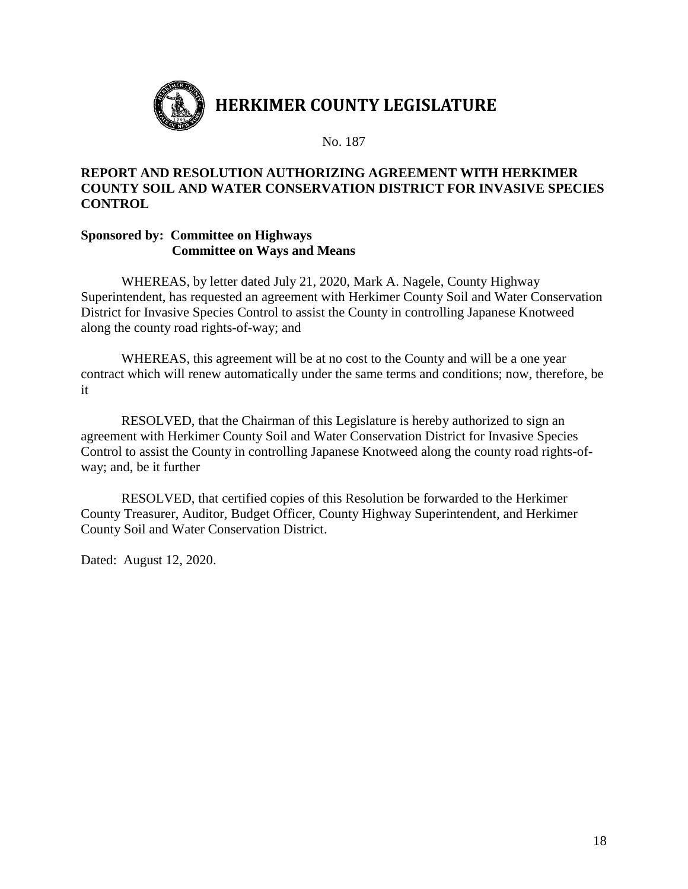

## **REPORT AND RESOLUTION AUTHORIZING AGREEMENT WITH HERKIMER COUNTY SOIL AND WATER CONSERVATION DISTRICT FOR INVASIVE SPECIES CONTROL**

## **Sponsored by: Committee on Highways Committee on Ways and Means**

WHEREAS, by letter dated July 21, 2020, Mark A. Nagele, County Highway Superintendent, has requested an agreement with Herkimer County Soil and Water Conservation District for Invasive Species Control to assist the County in controlling Japanese Knotweed along the county road rights-of-way; and

WHEREAS, this agreement will be at no cost to the County and will be a one year contract which will renew automatically under the same terms and conditions; now, therefore, be it

RESOLVED, that the Chairman of this Legislature is hereby authorized to sign an agreement with Herkimer County Soil and Water Conservation District for Invasive Species Control to assist the County in controlling Japanese Knotweed along the county road rights-ofway; and, be it further

RESOLVED, that certified copies of this Resolution be forwarded to the Herkimer County Treasurer, Auditor, Budget Officer, County Highway Superintendent, and Herkimer County Soil and Water Conservation District.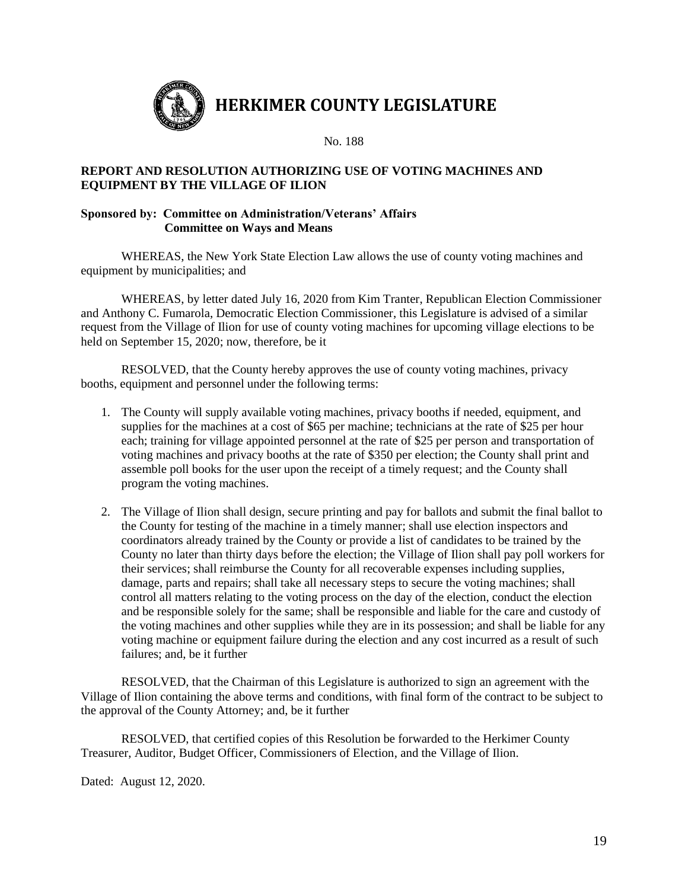

#### **REPORT AND RESOLUTION AUTHORIZING USE OF VOTING MACHINES AND EQUIPMENT BY THE VILLAGE OF ILION**

#### **Sponsored by: Committee on Administration/Veterans' Affairs Committee on Ways and Means**

WHEREAS, the New York State Election Law allows the use of county voting machines and equipment by municipalities; and

WHEREAS, by letter dated July 16, 2020 from Kim Tranter, Republican Election Commissioner and Anthony C. Fumarola, Democratic Election Commissioner, this Legislature is advised of a similar request from the Village of Ilion for use of county voting machines for upcoming village elections to be held on September 15, 2020; now, therefore, be it

RESOLVED, that the County hereby approves the use of county voting machines, privacy booths, equipment and personnel under the following terms:

- 1. The County will supply available voting machines, privacy booths if needed, equipment, and supplies for the machines at a cost of \$65 per machine; technicians at the rate of \$25 per hour each; training for village appointed personnel at the rate of \$25 per person and transportation of voting machines and privacy booths at the rate of \$350 per election; the County shall print and assemble poll books for the user upon the receipt of a timely request; and the County shall program the voting machines.
- 2. The Village of Ilion shall design, secure printing and pay for ballots and submit the final ballot to the County for testing of the machine in a timely manner; shall use election inspectors and coordinators already trained by the County or provide a list of candidates to be trained by the County no later than thirty days before the election; the Village of Ilion shall pay poll workers for their services; shall reimburse the County for all recoverable expenses including supplies, damage, parts and repairs; shall take all necessary steps to secure the voting machines; shall control all matters relating to the voting process on the day of the election, conduct the election and be responsible solely for the same; shall be responsible and liable for the care and custody of the voting machines and other supplies while they are in its possession; and shall be liable for any voting machine or equipment failure during the election and any cost incurred as a result of such failures; and, be it further

RESOLVED, that the Chairman of this Legislature is authorized to sign an agreement with the Village of Ilion containing the above terms and conditions, with final form of the contract to be subject to the approval of the County Attorney; and, be it further

RESOLVED, that certified copies of this Resolution be forwarded to the Herkimer County Treasurer, Auditor, Budget Officer, Commissioners of Election, and the Village of Ilion.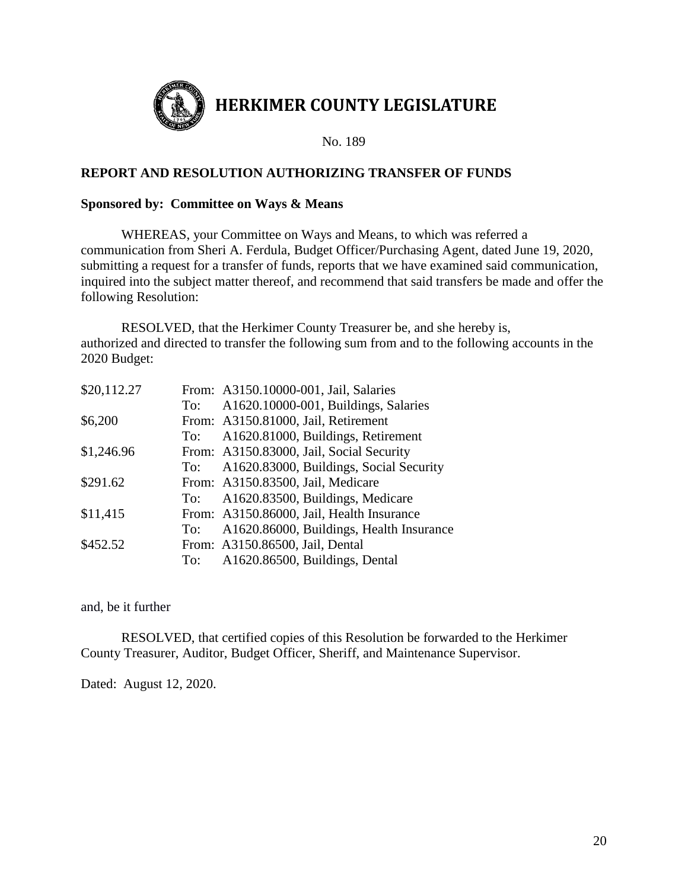

## **REPORT AND RESOLUTION AUTHORIZING TRANSFER OF FUNDS**

## **Sponsored by: Committee on Ways & Means**

WHEREAS, your Committee on Ways and Means, to which was referred a communication from Sheri A. Ferdula, Budget Officer/Purchasing Agent, dated June 19, 2020, submitting a request for a transfer of funds, reports that we have examined said communication, inquired into the subject matter thereof, and recommend that said transfers be made and offer the following Resolution:

RESOLVED, that the Herkimer County Treasurer be, and she hereby is, authorized and directed to transfer the following sum from and to the following accounts in the 2020 Budget:

| \$20,112.27 |     | From: A3150.10000-001, Jail, Salaries       |
|-------------|-----|---------------------------------------------|
|             | To: | A1620.10000-001, Buildings, Salaries        |
| \$6,200     |     | From: A3150.81000, Jail, Retirement         |
|             |     | To: A1620.81000, Buildings, Retirement      |
| \$1,246.96  |     | From: A3150.83000, Jail, Social Security    |
|             |     | To: A1620.83000, Buildings, Social Security |
| \$291.62    |     | From: A3150.83500, Jail, Medicare           |
|             |     | To: A1620.83500, Buildings, Medicare        |
| \$11,415    |     | From: A3150.86000, Jail, Health Insurance   |
|             | To: | A1620.86000, Buildings, Health Insurance    |
| \$452.52    |     | From: A3150.86500, Jail, Dental             |
|             |     | To: A1620.86500, Buildings, Dental          |

and, be it further

RESOLVED, that certified copies of this Resolution be forwarded to the Herkimer County Treasurer, Auditor, Budget Officer, Sheriff, and Maintenance Supervisor.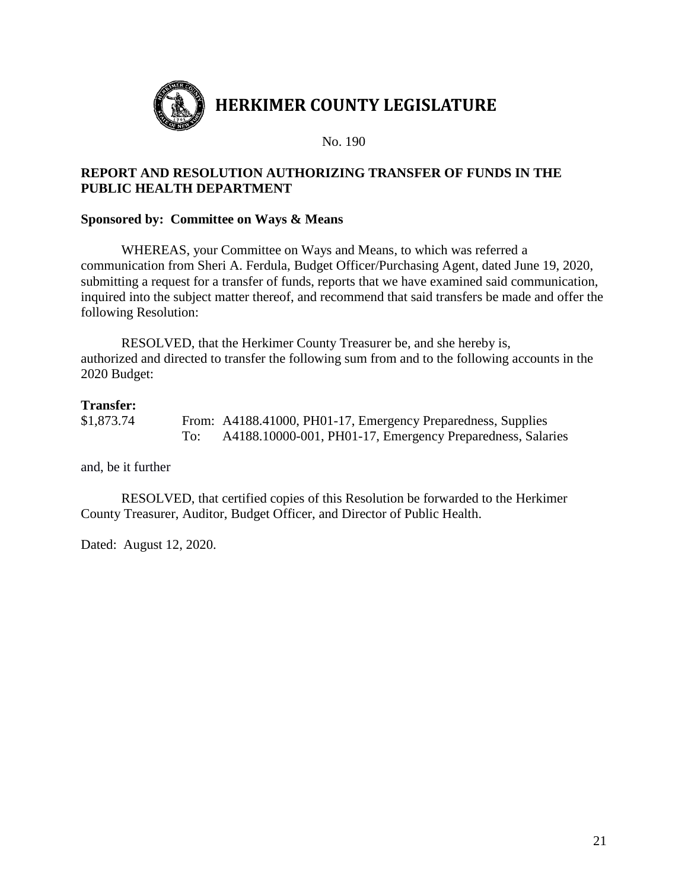

## **REPORT AND RESOLUTION AUTHORIZING TRANSFER OF FUNDS IN THE PUBLIC HEALTH DEPARTMENT**

## **Sponsored by: Committee on Ways & Means**

WHEREAS, your Committee on Ways and Means, to which was referred a communication from Sheri A. Ferdula, Budget Officer/Purchasing Agent, dated June 19, 2020, submitting a request for a transfer of funds, reports that we have examined said communication, inquired into the subject matter thereof, and recommend that said transfers be made and offer the following Resolution:

RESOLVED, that the Herkimer County Treasurer be, and she hereby is, authorized and directed to transfer the following sum from and to the following accounts in the 2020 Budget:

#### **Transfer:**

\$1,873.74 From: A4188.41000, PH01-17, Emergency Preparedness, Supplies To: A4188.10000-001, PH01-17, Emergency Preparedness, Salaries

and, be it further

RESOLVED, that certified copies of this Resolution be forwarded to the Herkimer County Treasurer, Auditor, Budget Officer, and Director of Public Health.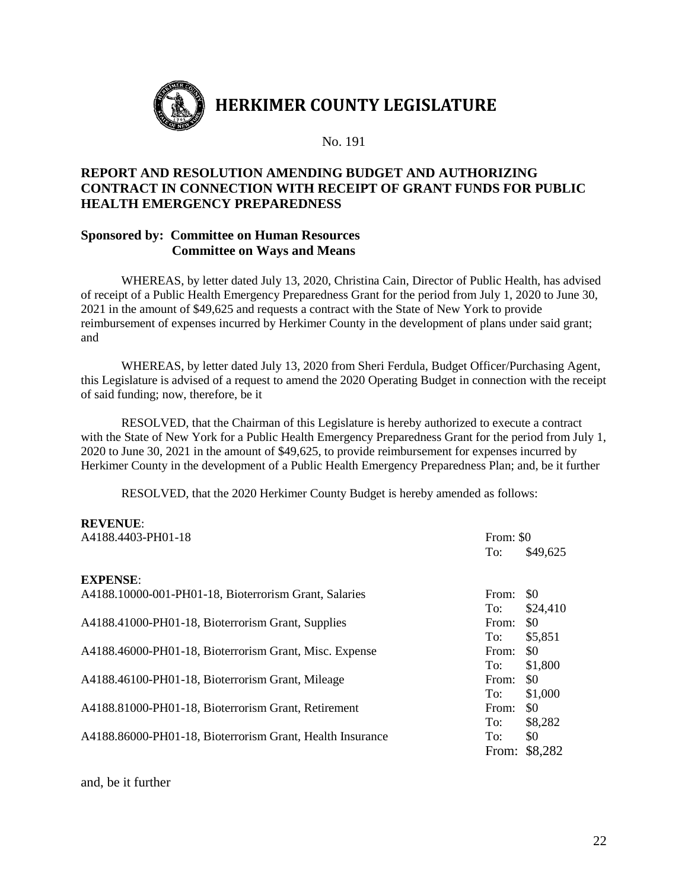

## **REPORT AND RESOLUTION AMENDING BUDGET AND AUTHORIZING CONTRACT IN CONNECTION WITH RECEIPT OF GRANT FUNDS FOR PUBLIC HEALTH EMERGENCY PREPAREDNESS**

## **Sponsored by: Committee on Human Resources Committee on Ways and Means**

WHEREAS, by letter dated July 13, 2020, Christina Cain, Director of Public Health, has advised of receipt of a Public Health Emergency Preparedness Grant for the period from July 1, 2020 to June 30, 2021 in the amount of \$49,625 and requests a contract with the State of New York to provide reimbursement of expenses incurred by Herkimer County in the development of plans under said grant; and

WHEREAS, by letter dated July 13, 2020 from Sheri Ferdula, Budget Officer/Purchasing Agent, this Legislature is advised of a request to amend the 2020 Operating Budget in connection with the receipt of said funding; now, therefore, be it

RESOLVED, that the Chairman of this Legislature is hereby authorized to execute a contract with the State of New York for a Public Health Emergency Preparedness Grant for the period from July 1, 2020 to June 30, 2021 in the amount of \$49,625, to provide reimbursement for expenses incurred by Herkimer County in the development of a Public Health Emergency Preparedness Plan; and, be it further

RESOLVED, that the 2020 Herkimer County Budget is hereby amended as follows:

#### **REVENUE**:

| A4188.4403-PH01-18                                        | From: \$0 |               |  |
|-----------------------------------------------------------|-----------|---------------|--|
|                                                           | To:       | \$49,625      |  |
| <b>EXPENSE:</b>                                           |           |               |  |
| A4188.10000-001-PH01-18, Bioterrorism Grant, Salaries     | From:     | \$0           |  |
|                                                           | To:       | \$24,410      |  |
| A4188.41000-PH01-18, Bioterrorism Grant, Supplies         | From:     | \$0           |  |
|                                                           | To:       | \$5,851       |  |
| A4188.46000-PH01-18, Bioterrorism Grant, Misc. Expense    | From:     | \$0           |  |
|                                                           | To:       | \$1,800       |  |
| A4188.46100-PH01-18, Bioterrorism Grant, Mileage          | From:     | \$0           |  |
|                                                           | To:       | \$1,000       |  |
| A4188.81000-PH01-18, Bioterrorism Grant, Retirement       | From:     | \$0           |  |
|                                                           | To:       | \$8,282       |  |
| A4188.86000-PH01-18, Bioterrorism Grant, Health Insurance | To:       | \$0           |  |
|                                                           |           | From: \$8,282 |  |

and, be it further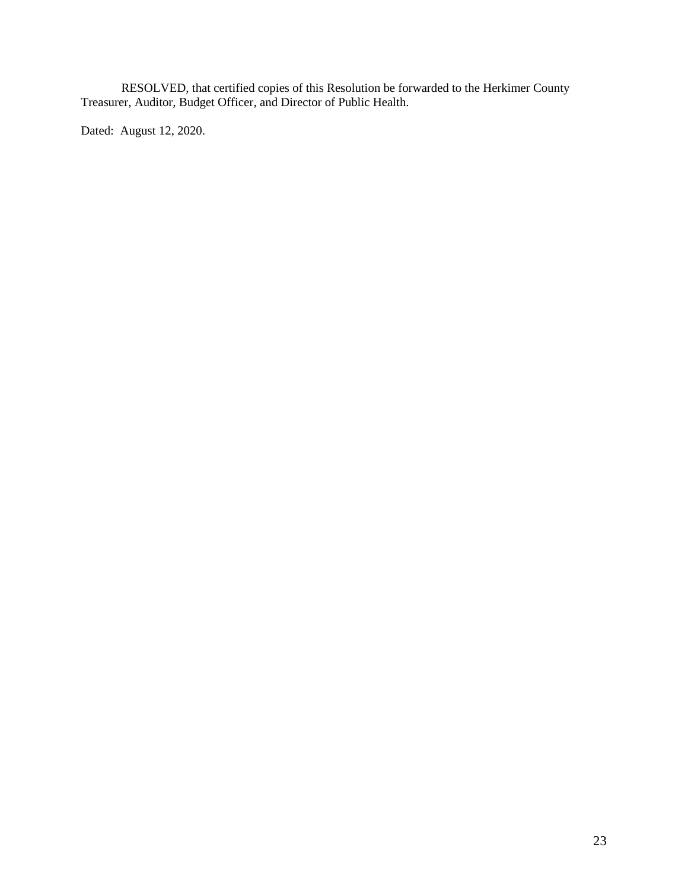RESOLVED, that certified copies of this Resolution be forwarded to the Herkimer County Treasurer, Auditor, Budget Officer, and Director of Public Health.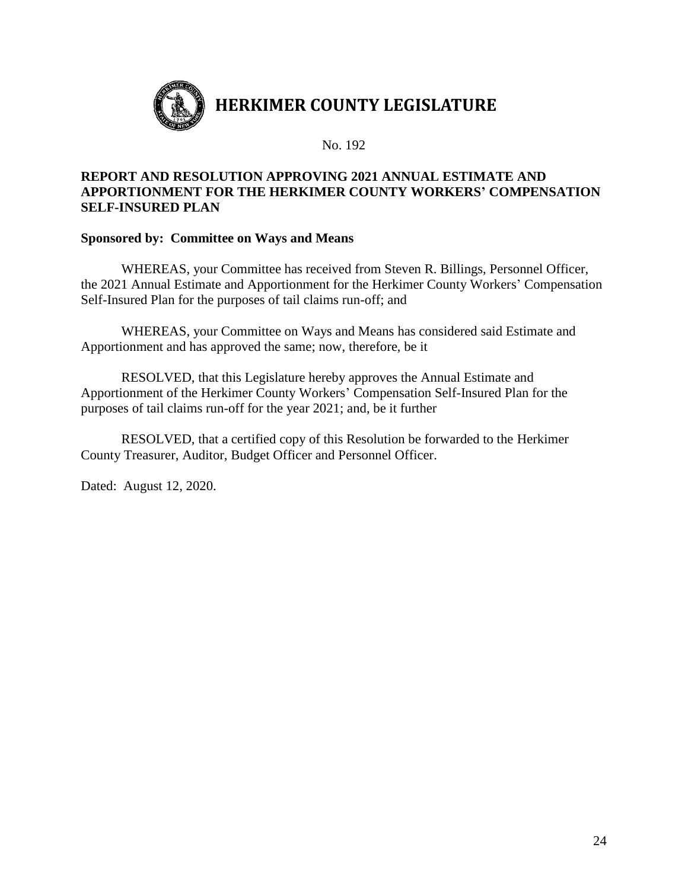

## **REPORT AND RESOLUTION APPROVING 2021 ANNUAL ESTIMATE AND APPORTIONMENT FOR THE HERKIMER COUNTY WORKERS' COMPENSATION SELF-INSURED PLAN**

## **Sponsored by: Committee on Ways and Means**

WHEREAS, your Committee has received from Steven R. Billings, Personnel Officer, the 2021 Annual Estimate and Apportionment for the Herkimer County Workers' Compensation Self-Insured Plan for the purposes of tail claims run-off; and

WHEREAS, your Committee on Ways and Means has considered said Estimate and Apportionment and has approved the same; now, therefore, be it

RESOLVED, that this Legislature hereby approves the Annual Estimate and Apportionment of the Herkimer County Workers' Compensation Self-Insured Plan for the purposes of tail claims run-off for the year 2021; and, be it further

RESOLVED, that a certified copy of this Resolution be forwarded to the Herkimer County Treasurer, Auditor, Budget Officer and Personnel Officer.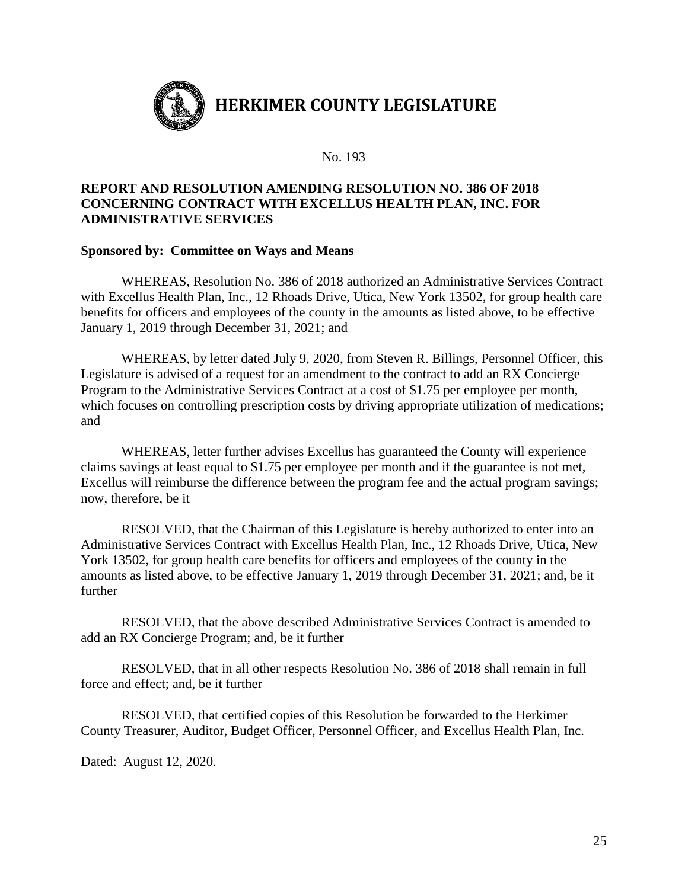

## **REPORT AND RESOLUTION AMENDING RESOLUTION NO. 386 OF 2018 CONCERNING CONTRACT WITH EXCELLUS HEALTH PLAN, INC. FOR ADMINISTRATIVE SERVICES**

#### **Sponsored by: Committee on Ways and Means**

WHEREAS, Resolution No. 386 of 2018 authorized an Administrative Services Contract with Excellus Health Plan, Inc., 12 Rhoads Drive, Utica, New York 13502, for group health care benefits for officers and employees of the county in the amounts as listed above, to be effective January 1, 2019 through December 31, 2021; and

WHEREAS, by letter dated July 9, 2020, from Steven R. Billings, Personnel Officer, this Legislature is advised of a request for an amendment to the contract to add an RX Concierge Program to the Administrative Services Contract at a cost of \$1.75 per employee per month, which focuses on controlling prescription costs by driving appropriate utilization of medications; and

WHEREAS, letter further advises Excellus has guaranteed the County will experience claims savings at least equal to \$1.75 per employee per month and if the guarantee is not met, Excellus will reimburse the difference between the program fee and the actual program savings; now, therefore, be it

RESOLVED, that the Chairman of this Legislature is hereby authorized to enter into an Administrative Services Contract with Excellus Health Plan, Inc., 12 Rhoads Drive, Utica, New York 13502, for group health care benefits for officers and employees of the county in the amounts as listed above, to be effective January 1, 2019 through December 31, 2021; and, be it further

RESOLVED, that the above described Administrative Services Contract is amended to add an RX Concierge Program; and, be it further

RESOLVED, that in all other respects Resolution No. 386 of 2018 shall remain in full force and effect; and, be it further

RESOLVED, that certified copies of this Resolution be forwarded to the Herkimer County Treasurer, Auditor, Budget Officer, Personnel Officer, and Excellus Health Plan, Inc.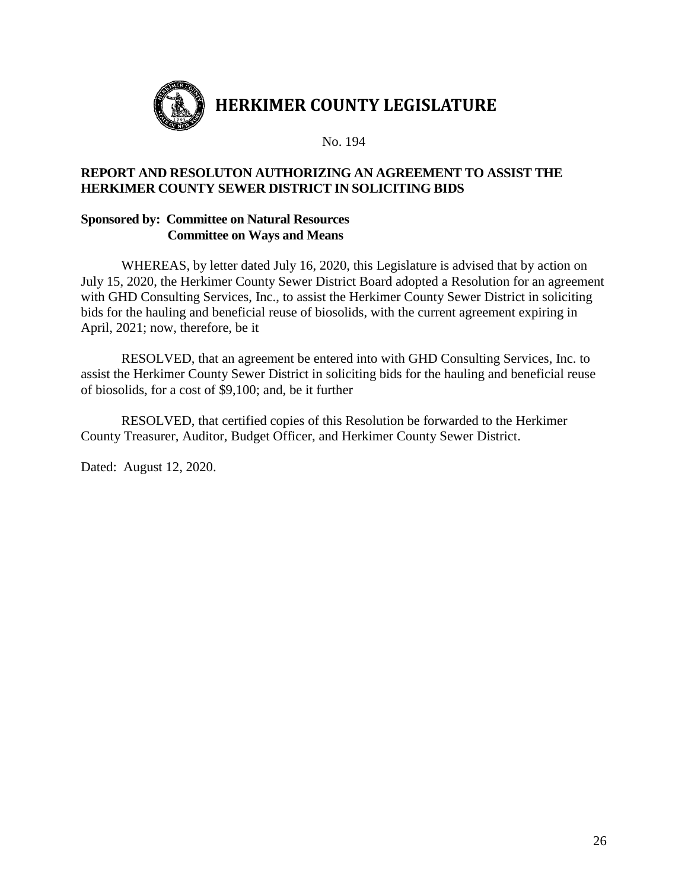

## **REPORT AND RESOLUTON AUTHORIZING AN AGREEMENT TO ASSIST THE HERKIMER COUNTY SEWER DISTRICT IN SOLICITING BIDS**

## **Sponsored by: Committee on Natural Resources Committee on Ways and Means**

WHEREAS, by letter dated July 16, 2020, this Legislature is advised that by action on July 15, 2020, the Herkimer County Sewer District Board adopted a Resolution for an agreement with GHD Consulting Services, Inc., to assist the Herkimer County Sewer District in soliciting bids for the hauling and beneficial reuse of biosolids, with the current agreement expiring in April, 2021; now, therefore, be it

RESOLVED, that an agreement be entered into with GHD Consulting Services, Inc. to assist the Herkimer County Sewer District in soliciting bids for the hauling and beneficial reuse of biosolids, for a cost of \$9,100; and, be it further

RESOLVED, that certified copies of this Resolution be forwarded to the Herkimer County Treasurer, Auditor, Budget Officer, and Herkimer County Sewer District.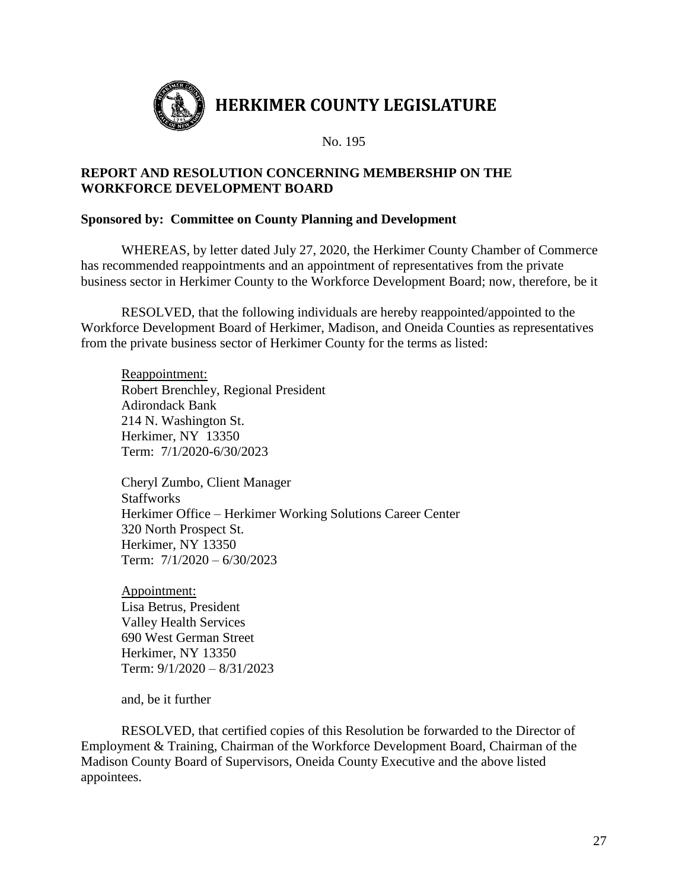

## **REPORT AND RESOLUTION CONCERNING MEMBERSHIP ON THE WORKFORCE DEVELOPMENT BOARD**

## **Sponsored by: Committee on County Planning and Development**

WHEREAS, by letter dated July 27, 2020, the Herkimer County Chamber of Commerce has recommended reappointments and an appointment of representatives from the private business sector in Herkimer County to the Workforce Development Board; now, therefore, be it

RESOLVED, that the following individuals are hereby reappointed/appointed to the Workforce Development Board of Herkimer, Madison, and Oneida Counties as representatives from the private business sector of Herkimer County for the terms as listed:

Reappointment: Robert Brenchley, Regional President Adirondack Bank 214 N. Washington St. Herkimer, NY 13350 Term: 7/1/2020-6/30/2023

Cheryl Zumbo, Client Manager **Staffworks** Herkimer Office – Herkimer Working Solutions Career Center 320 North Prospect St. Herkimer, NY 13350 Term: 7/1/2020 – 6/30/2023

Appointment: Lisa Betrus, President Valley Health Services 690 West German Street Herkimer, NY 13350 Term: 9/1/2020 – 8/31/2023

and, be it further

RESOLVED, that certified copies of this Resolution be forwarded to the Director of Employment & Training, Chairman of the Workforce Development Board, Chairman of the Madison County Board of Supervisors, Oneida County Executive and the above listed appointees.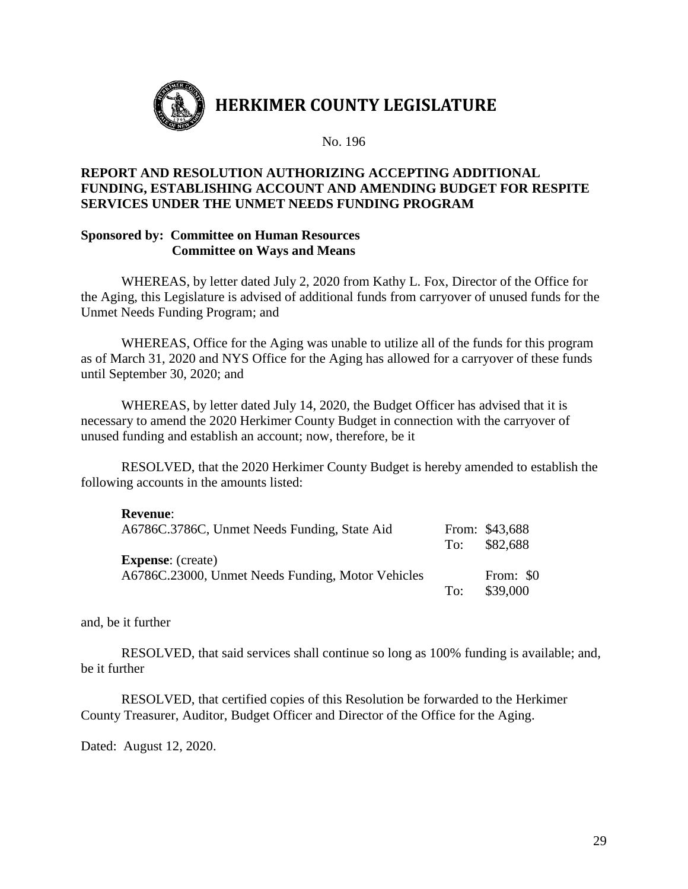

## **REPORT AND RESOLUTION AUTHORIZING ACCEPTING ADDITIONAL FUNDING, ESTABLISHING ACCOUNT AND AMENDING BUDGET FOR RESPITE SERVICES UNDER THE UNMET NEEDS FUNDING PROGRAM**

## **Sponsored by: Committee on Human Resources Committee on Ways and Means**

WHEREAS, by letter dated July 2, 2020 from Kathy L. Fox, Director of the Office for the Aging, this Legislature is advised of additional funds from carryover of unused funds for the Unmet Needs Funding Program; and

WHEREAS, Office for the Aging was unable to utilize all of the funds for this program as of March 31, 2020 and NYS Office for the Aging has allowed for a carryover of these funds until September 30, 2020; and

WHEREAS, by letter dated July 14, 2020, the Budget Officer has advised that it is necessary to amend the 2020 Herkimer County Budget in connection with the carryover of unused funding and establish an account; now, therefore, be it

RESOLVED, that the 2020 Herkimer County Budget is hereby amended to establish the following accounts in the amounts listed:

| <b>Revenue:</b><br>A6786C.3786C, Unmet Needs Funding, State Aid               | To: | From: \$43,688<br>\$82,688 |
|-------------------------------------------------------------------------------|-----|----------------------------|
| <b>Expense:</b> (create)<br>A6786C.23000, Unmet Needs Funding, Motor Vehicles | To: | From: \$0<br>\$39,000      |

and, be it further

RESOLVED, that said services shall continue so long as 100% funding is available; and, be it further

RESOLVED, that certified copies of this Resolution be forwarded to the Herkimer County Treasurer, Auditor, Budget Officer and Director of the Office for the Aging.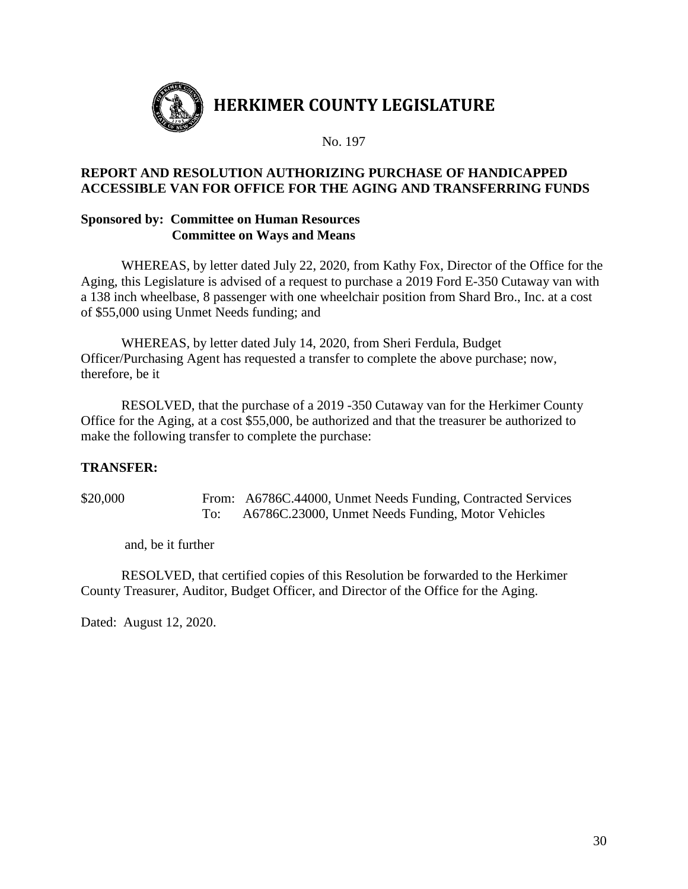

## **REPORT AND RESOLUTION AUTHORIZING PURCHASE OF HANDICAPPED ACCESSIBLE VAN FOR OFFICE FOR THE AGING AND TRANSFERRING FUNDS**

## **Sponsored by: Committee on Human Resources Committee on Ways and Means**

WHEREAS, by letter dated July 22, 2020, from Kathy Fox, Director of the Office for the Aging, this Legislature is advised of a request to purchase a 2019 Ford E-350 Cutaway van with a 138 inch wheelbase, 8 passenger with one wheelchair position from Shard Bro., Inc. at a cost of \$55,000 using Unmet Needs funding; and

WHEREAS, by letter dated July 14, 2020, from Sheri Ferdula, Budget Officer/Purchasing Agent has requested a transfer to complete the above purchase; now, therefore, be it

RESOLVED, that the purchase of a 2019 -350 Cutaway van for the Herkimer County Office for the Aging, at a cost \$55,000, be authorized and that the treasurer be authorized to make the following transfer to complete the purchase:

## **TRANSFER:**

\$20,000 From: A6786C.44000, Unmet Needs Funding, Contracted Services To: A6786C.23000, Unmet Needs Funding, Motor Vehicles

and, be it further

RESOLVED, that certified copies of this Resolution be forwarded to the Herkimer County Treasurer, Auditor, Budget Officer, and Director of the Office for the Aging.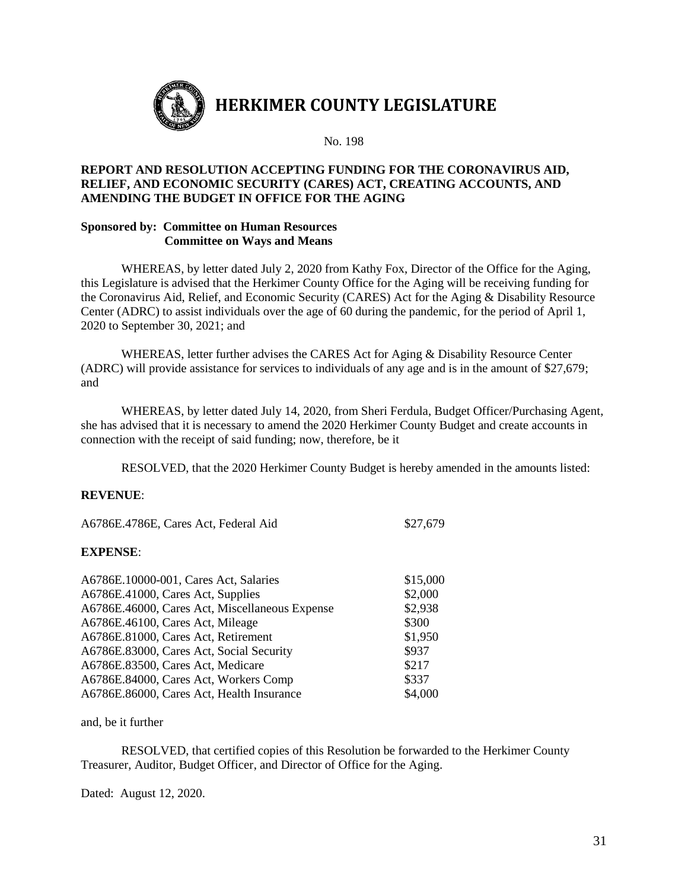

#### **REPORT AND RESOLUTION ACCEPTING FUNDING FOR THE CORONAVIRUS AID, RELIEF, AND ECONOMIC SECURITY (CARES) ACT, CREATING ACCOUNTS, AND AMENDING THE BUDGET IN OFFICE FOR THE AGING**

#### **Sponsored by: Committee on Human Resources Committee on Ways and Means**

WHEREAS, by letter dated July 2, 2020 from Kathy Fox, Director of the Office for the Aging, this Legislature is advised that the Herkimer County Office for the Aging will be receiving funding for the Coronavirus Aid, Relief, and Economic Security (CARES) Act for the Aging & Disability Resource Center (ADRC) to assist individuals over the age of 60 during the pandemic, for the period of April 1, 2020 to September 30, 2021; and

WHEREAS, letter further advises the CARES Act for Aging & Disability Resource Center (ADRC) will provide assistance for services to individuals of any age and is in the amount of \$27,679; and

WHEREAS, by letter dated July 14, 2020, from Sheri Ferdula, Budget Officer/Purchasing Agent, she has advised that it is necessary to amend the 2020 Herkimer County Budget and create accounts in connection with the receipt of said funding; now, therefore, be it

RESOLVED, that the 2020 Herkimer County Budget is hereby amended in the amounts listed:

#### **REVENUE**:

| A6786E.4786E, Cares Act, Federal Aid           | \$27,679 |  |
|------------------------------------------------|----------|--|
| <b>EXPENSE:</b>                                |          |  |
| A6786E.10000-001, Cares Act, Salaries          | \$15,000 |  |
| A6786E.41000, Cares Act, Supplies              | \$2,000  |  |
| A6786E.46000, Cares Act, Miscellaneous Expense | \$2,938  |  |
| A6786E.46100, Cares Act, Mileage               | \$300    |  |
| A6786E.81000, Cares Act, Retirement            | \$1,950  |  |
| A6786E.83000, Cares Act, Social Security       | \$937    |  |
| A6786E.83500, Cares Act, Medicare              | \$217    |  |
| A6786E.84000, Cares Act, Workers Comp          | \$337    |  |
| A6786E.86000, Cares Act, Health Insurance      | \$4,000  |  |

and, be it further

RESOLVED, that certified copies of this Resolution be forwarded to the Herkimer County Treasurer, Auditor, Budget Officer, and Director of Office for the Aging.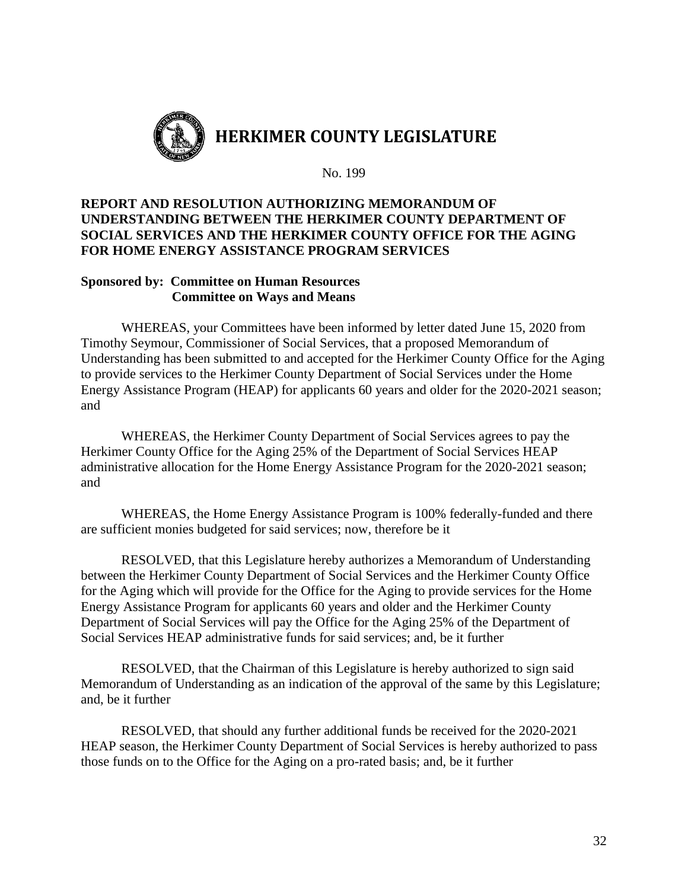

## **REPORT AND RESOLUTION AUTHORIZING MEMORANDUM OF UNDERSTANDING BETWEEN THE HERKIMER COUNTY DEPARTMENT OF SOCIAL SERVICES AND THE HERKIMER COUNTY OFFICE FOR THE AGING FOR HOME ENERGY ASSISTANCE PROGRAM SERVICES**

## **Sponsored by: Committee on Human Resources Committee on Ways and Means**

WHEREAS, your Committees have been informed by letter dated June 15, 2020 from Timothy Seymour, Commissioner of Social Services, that a proposed Memorandum of Understanding has been submitted to and accepted for the Herkimer County Office for the Aging to provide services to the Herkimer County Department of Social Services under the Home Energy Assistance Program (HEAP) for applicants 60 years and older for the 2020-2021 season; and

WHEREAS, the Herkimer County Department of Social Services agrees to pay the Herkimer County Office for the Aging 25% of the Department of Social Services HEAP administrative allocation for the Home Energy Assistance Program for the 2020-2021 season; and

WHEREAS, the Home Energy Assistance Program is 100% federally-funded and there are sufficient monies budgeted for said services; now, therefore be it

RESOLVED, that this Legislature hereby authorizes a Memorandum of Understanding between the Herkimer County Department of Social Services and the Herkimer County Office for the Aging which will provide for the Office for the Aging to provide services for the Home Energy Assistance Program for applicants 60 years and older and the Herkimer County Department of Social Services will pay the Office for the Aging 25% of the Department of Social Services HEAP administrative funds for said services; and, be it further

RESOLVED, that the Chairman of this Legislature is hereby authorized to sign said Memorandum of Understanding as an indication of the approval of the same by this Legislature; and, be it further

RESOLVED, that should any further additional funds be received for the 2020-2021 HEAP season, the Herkimer County Department of Social Services is hereby authorized to pass those funds on to the Office for the Aging on a pro-rated basis; and, be it further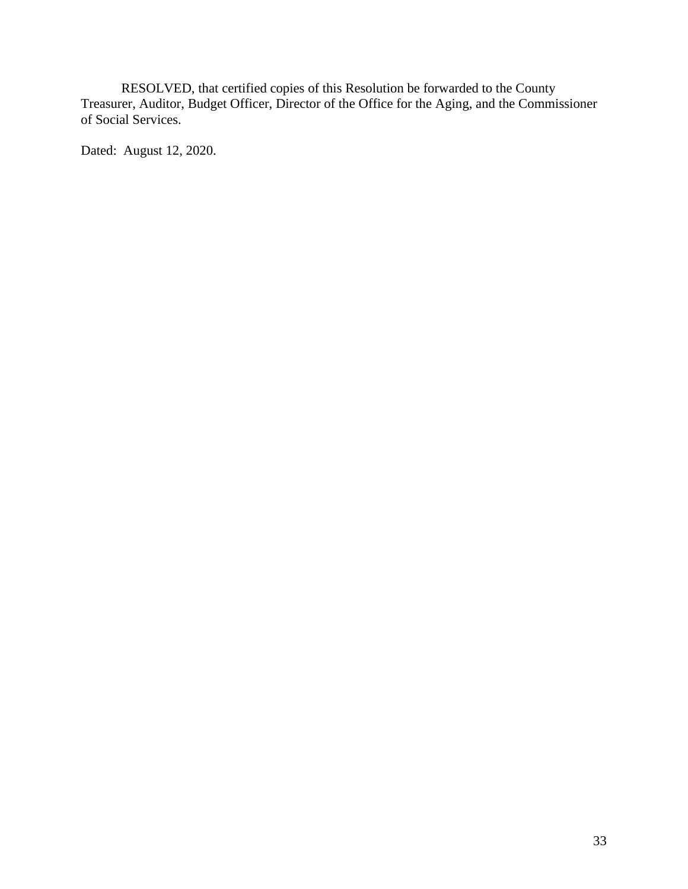RESOLVED, that certified copies of this Resolution be forwarded to the County Treasurer, Auditor, Budget Officer, Director of the Office for the Aging, and the Commissioner of Social Services.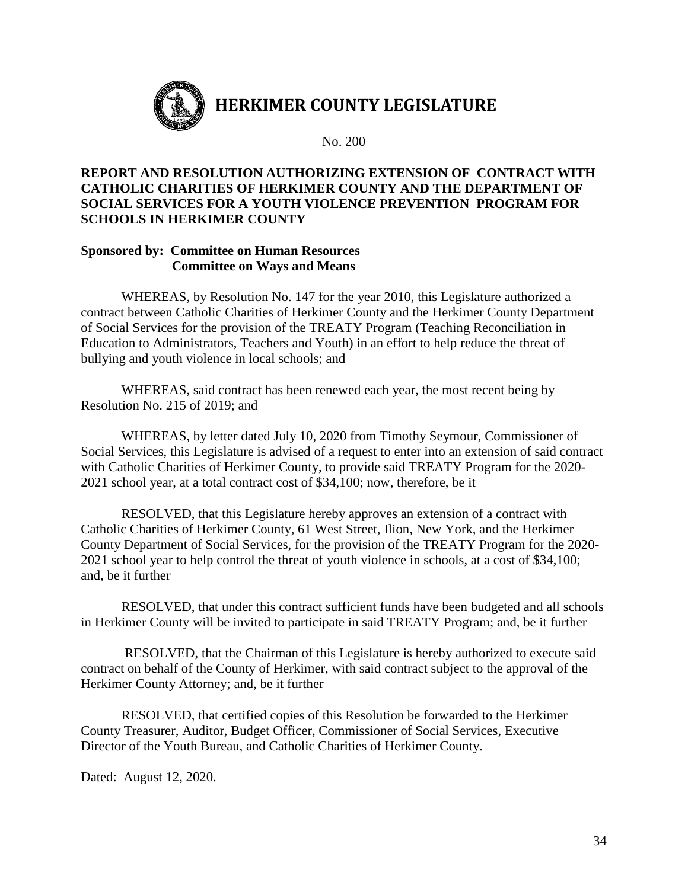

## **REPORT AND RESOLUTION AUTHORIZING EXTENSION OF CONTRACT WITH CATHOLIC CHARITIES OF HERKIMER COUNTY AND THE DEPARTMENT OF SOCIAL SERVICES FOR A YOUTH VIOLENCE PREVENTION PROGRAM FOR SCHOOLS IN HERKIMER COUNTY**

## **Sponsored by: Committee on Human Resources Committee on Ways and Means**

WHEREAS, by Resolution No. 147 for the year 2010, this Legislature authorized a contract between Catholic Charities of Herkimer County and the Herkimer County Department of Social Services for the provision of the TREATY Program (Teaching Reconciliation in Education to Administrators, Teachers and Youth) in an effort to help reduce the threat of bullying and youth violence in local schools; and

WHEREAS, said contract has been renewed each year, the most recent being by Resolution No. 215 of 2019; and

WHEREAS, by letter dated July 10, 2020 from Timothy Seymour, Commissioner of Social Services, this Legislature is advised of a request to enter into an extension of said contract with Catholic Charities of Herkimer County, to provide said TREATY Program for the 2020- 2021 school year, at a total contract cost of \$34,100; now, therefore, be it

RESOLVED, that this Legislature hereby approves an extension of a contract with Catholic Charities of Herkimer County, 61 West Street, Ilion, New York, and the Herkimer County Department of Social Services, for the provision of the TREATY Program for the 2020- 2021 school year to help control the threat of youth violence in schools, at a cost of \$34,100; and, be it further

RESOLVED, that under this contract sufficient funds have been budgeted and all schools in Herkimer County will be invited to participate in said TREATY Program; and, be it further

RESOLVED, that the Chairman of this Legislature is hereby authorized to execute said contract on behalf of the County of Herkimer, with said contract subject to the approval of the Herkimer County Attorney; and, be it further

RESOLVED, that certified copies of this Resolution be forwarded to the Herkimer County Treasurer, Auditor, Budget Officer, Commissioner of Social Services, Executive Director of the Youth Bureau, and Catholic Charities of Herkimer County.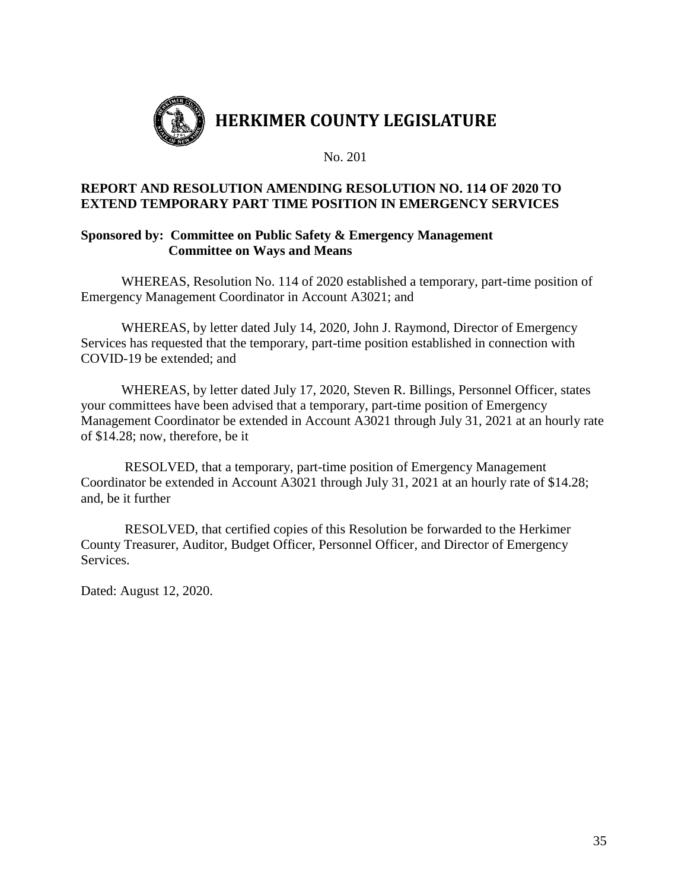

## **REPORT AND RESOLUTION AMENDING RESOLUTION NO. 114 OF 2020 TO EXTEND TEMPORARY PART TIME POSITION IN EMERGENCY SERVICES**

## **Sponsored by: Committee on Public Safety & Emergency Management Committee on Ways and Means**

WHEREAS, Resolution No. 114 of 2020 established a temporary, part-time position of Emergency Management Coordinator in Account A3021; and

WHEREAS, by letter dated July 14, 2020, John J. Raymond, Director of Emergency Services has requested that the temporary, part-time position established in connection with COVID-19 be extended; and

WHEREAS, by letter dated July 17, 2020, Steven R. Billings, Personnel Officer, states your committees have been advised that a temporary, part-time position of Emergency Management Coordinator be extended in Account A3021 through July 31, 2021 at an hourly rate of \$14.28; now, therefore, be it

RESOLVED, that a temporary, part-time position of Emergency Management Coordinator be extended in Account A3021 through July 31, 2021 at an hourly rate of \$14.28; and, be it further

RESOLVED, that certified copies of this Resolution be forwarded to the Herkimer County Treasurer, Auditor, Budget Officer, Personnel Officer, and Director of Emergency Services.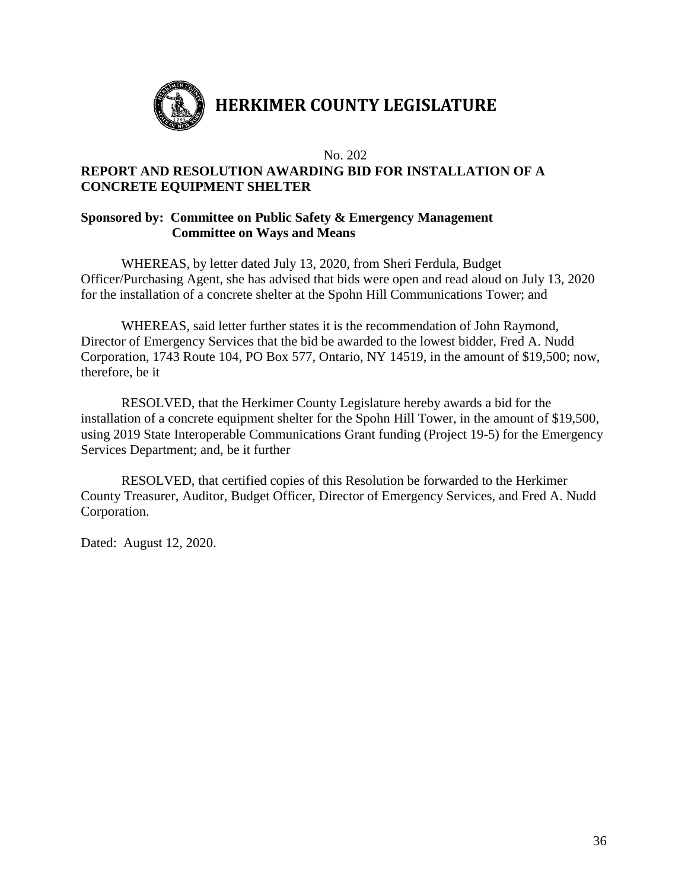

## **REPORT AND RESOLUTION AWARDING BID FOR INSTALLATION OF A CONCRETE EQUIPMENT SHELTER**

## **Sponsored by: Committee on Public Safety & Emergency Management Committee on Ways and Means**

WHEREAS, by letter dated July 13, 2020, from Sheri Ferdula, Budget Officer/Purchasing Agent, she has advised that bids were open and read aloud on July 13, 2020 for the installation of a concrete shelter at the Spohn Hill Communications Tower; and

WHEREAS, said letter further states it is the recommendation of John Raymond, Director of Emergency Services that the bid be awarded to the lowest bidder, Fred A. Nudd Corporation, 1743 Route 104, PO Box 577, Ontario, NY 14519, in the amount of \$19,500; now, therefore, be it

RESOLVED, that the Herkimer County Legislature hereby awards a bid for the installation of a concrete equipment shelter for the Spohn Hill Tower, in the amount of \$19,500, using 2019 State Interoperable Communications Grant funding (Project 19-5) for the Emergency Services Department; and, be it further

RESOLVED, that certified copies of this Resolution be forwarded to the Herkimer County Treasurer, Auditor, Budget Officer, Director of Emergency Services, and Fred A. Nudd Corporation.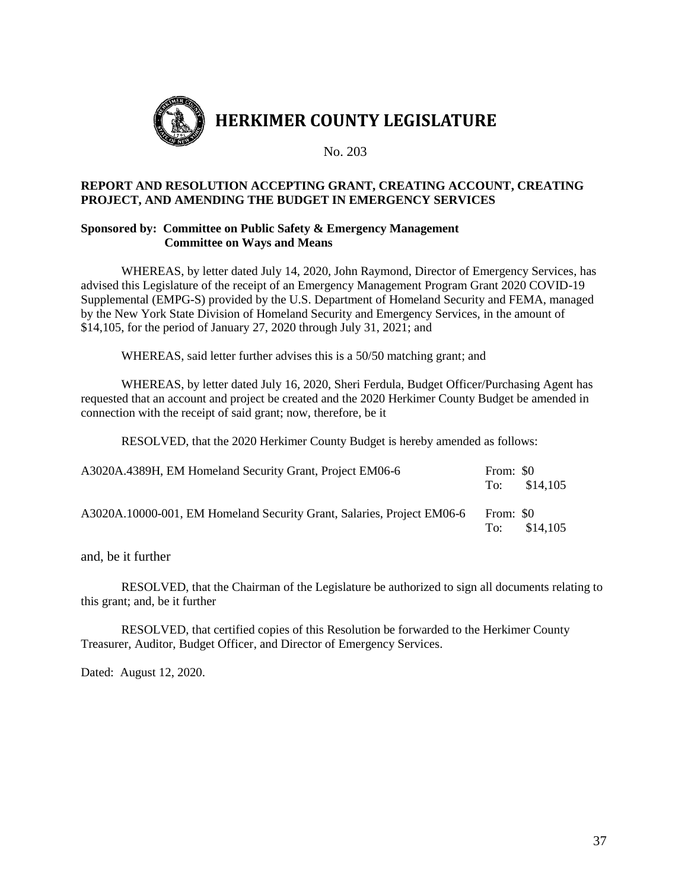

#### **REPORT AND RESOLUTION ACCEPTING GRANT, CREATING ACCOUNT, CREATING PROJECT, AND AMENDING THE BUDGET IN EMERGENCY SERVICES**

#### **Sponsored by: Committee on Public Safety & Emergency Management Committee on Ways and Means**

WHEREAS, by letter dated July 14, 2020, John Raymond, Director of Emergency Services, has advised this Legislature of the receipt of an Emergency Management Program Grant 2020 COVID-19 Supplemental (EMPG-S) provided by the U.S. Department of Homeland Security and FEMA, managed by the New York State Division of Homeland Security and Emergency Services, in the amount of \$14,105, for the period of January 27, 2020 through July 31, 2021; and

WHEREAS, said letter further advises this is a 50/50 matching grant; and

WHEREAS, by letter dated July 16, 2020, Sheri Ferdula, Budget Officer/Purchasing Agent has requested that an account and project be created and the 2020 Herkimer County Budget be amended in connection with the receipt of said grant; now, therefore, be it

RESOLVED, that the 2020 Herkimer County Budget is hereby amended as follows:

| A3020A.4389H, EM Homeland Security Grant, Project EM06-6               | From: \$0        | To: $$14.105$ |
|------------------------------------------------------------------------|------------------|---------------|
| A3020A.10000-001, EM Homeland Security Grant, Salaries, Project EM06-6 | From: \$0<br>To: | \$14.105      |

and, be it further

RESOLVED, that the Chairman of the Legislature be authorized to sign all documents relating to this grant; and, be it further

RESOLVED, that certified copies of this Resolution be forwarded to the Herkimer County Treasurer, Auditor, Budget Officer, and Director of Emergency Services.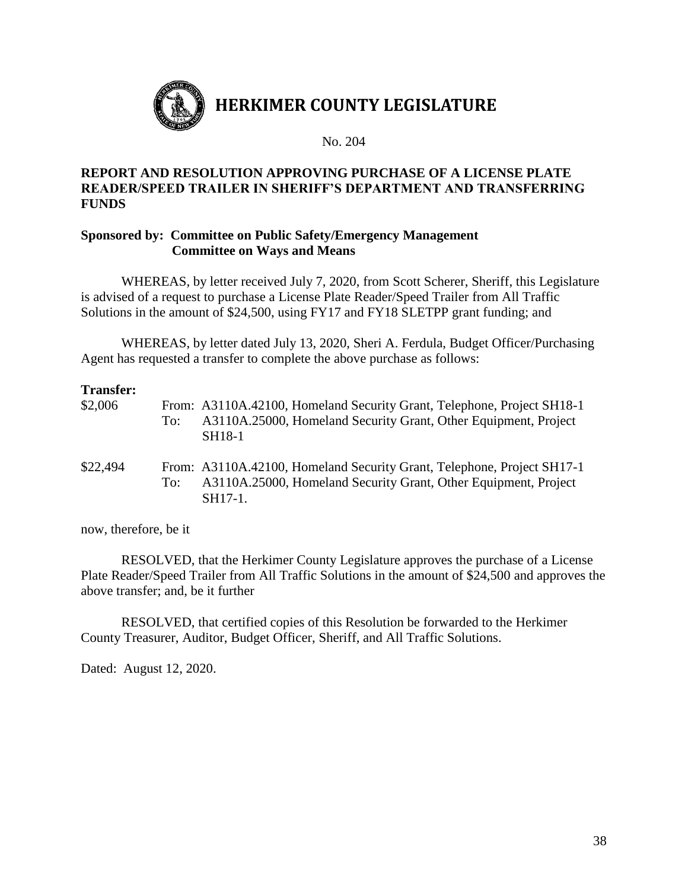

## **REPORT AND RESOLUTION APPROVING PURCHASE OF A LICENSE PLATE READER/SPEED TRAILER IN SHERIFF'S DEPARTMENT AND TRANSFERRING FUNDS**

## **Sponsored by: Committee on Public Safety/Emergency Management Committee on Ways and Means**

WHEREAS, by letter received July 7, 2020, from Scott Scherer, Sheriff, this Legislature is advised of a request to purchase a License Plate Reader/Speed Trailer from All Traffic Solutions in the amount of \$24,500, using FY17 and FY18 SLETPP grant funding; and

WHEREAS, by letter dated July 13, 2020, Sheri A. Ferdula, Budget Officer/Purchasing Agent has requested a transfer to complete the above purchase as follows:

| <b>Transfer:</b><br>\$2,006 | To: | From: A3110A.42100, Homeland Security Grant, Telephone, Project SH18-1<br>A3110A.25000, Homeland Security Grant, Other Equipment, Project<br><b>SH18-1</b> |
|-----------------------------|-----|------------------------------------------------------------------------------------------------------------------------------------------------------------|
| \$22,494                    | To: | From: A3110A.42100, Homeland Security Grant, Telephone, Project SH17-1<br>A3110A.25000, Homeland Security Grant, Other Equipment, Project<br>SH17-1.       |

now, therefore, be it

RESOLVED, that the Herkimer County Legislature approves the purchase of a License Plate Reader/Speed Trailer from All Traffic Solutions in the amount of \$24,500 and approves the above transfer; and, be it further

RESOLVED, that certified copies of this Resolution be forwarded to the Herkimer County Treasurer, Auditor, Budget Officer, Sheriff, and All Traffic Solutions.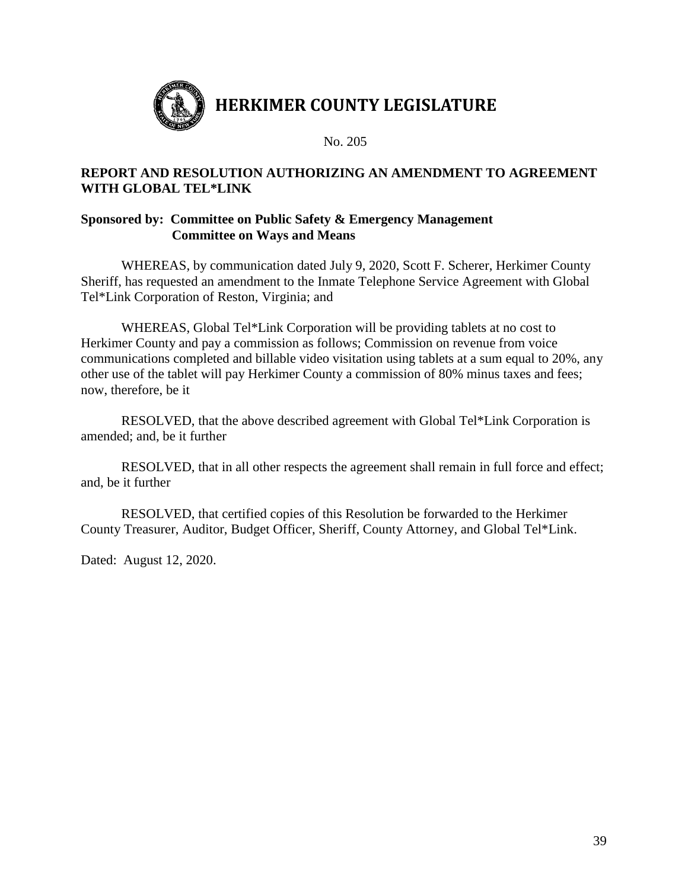

## **REPORT AND RESOLUTION AUTHORIZING AN AMENDMENT TO AGREEMENT WITH GLOBAL TEL\*LINK**

## **Sponsored by: Committee on Public Safety & Emergency Management Committee on Ways and Means**

WHEREAS, by communication dated July 9, 2020, Scott F. Scherer, Herkimer County Sheriff, has requested an amendment to the Inmate Telephone Service Agreement with Global Tel\*Link Corporation of Reston, Virginia; and

WHEREAS, Global Tel\*Link Corporation will be providing tablets at no cost to Herkimer County and pay a commission as follows; Commission on revenue from voice communications completed and billable video visitation using tablets at a sum equal to 20%, any other use of the tablet will pay Herkimer County a commission of 80% minus taxes and fees; now, therefore, be it

RESOLVED, that the above described agreement with Global Tel\*Link Corporation is amended; and, be it further

RESOLVED, that in all other respects the agreement shall remain in full force and effect; and, be it further

RESOLVED, that certified copies of this Resolution be forwarded to the Herkimer County Treasurer, Auditor, Budget Officer, Sheriff, County Attorney, and Global Tel\*Link.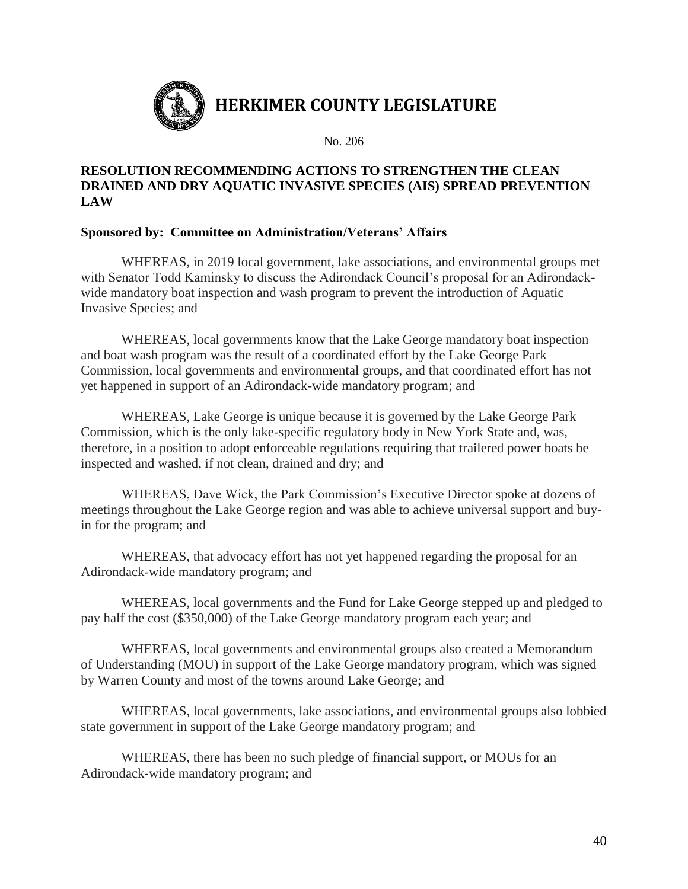

## **RESOLUTION RECOMMENDING ACTIONS TO STRENGTHEN THE CLEAN DRAINED AND DRY AQUATIC INVASIVE SPECIES (AIS) SPREAD PREVENTION LAW**

## **Sponsored by: Committee on Administration/Veterans' Affairs**

WHEREAS, in 2019 local government, lake associations, and environmental groups met with Senator Todd Kaminsky to discuss the Adirondack Council's proposal for an Adirondackwide mandatory boat inspection and wash program to prevent the introduction of Aquatic Invasive Species; and

WHEREAS, local governments know that the Lake George mandatory boat inspection and boat wash program was the result of a coordinated effort by the Lake George Park Commission, local governments and environmental groups, and that coordinated effort has not yet happened in support of an Adirondack-wide mandatory program; and

WHEREAS, Lake George is unique because it is governed by the Lake George Park Commission, which is the only lake-specific regulatory body in New York State and, was, therefore, in a position to adopt enforceable regulations requiring that trailered power boats be inspected and washed, if not clean, drained and dry; and

WHEREAS, Dave Wick, the Park Commission's Executive Director spoke at dozens of meetings throughout the Lake George region and was able to achieve universal support and buyin for the program; and

WHEREAS, that advocacy effort has not yet happened regarding the proposal for an Adirondack-wide mandatory program; and

WHEREAS, local governments and the Fund for Lake George stepped up and pledged to pay half the cost (\$350,000) of the Lake George mandatory program each year; and

WHEREAS, local governments and environmental groups also created a Memorandum of Understanding (MOU) in support of the Lake George mandatory program, which was signed by Warren County and most of the towns around Lake George; and

WHEREAS, local governments, lake associations, and environmental groups also lobbied state government in support of the Lake George mandatory program; and

WHEREAS, there has been no such pledge of financial support, or MOUs for an Adirondack-wide mandatory program; and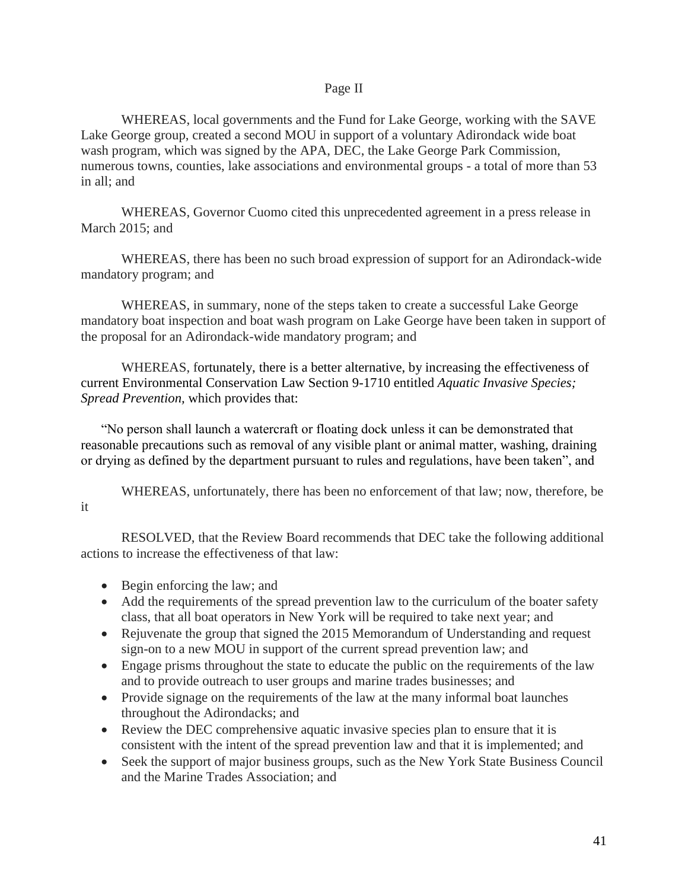#### Page II

WHEREAS, local governments and the Fund for Lake George, working with the SAVE Lake George group, created a second MOU in support of a voluntary Adirondack wide boat wash program, which was signed by the APA, DEC, the Lake George Park Commission, numerous towns, counties, lake associations and environmental groups - a total of more than 53 in all; and

WHEREAS, Governor Cuomo cited this unprecedented agreement in a press release in March 2015; and

WHEREAS, there has been no such broad expression of support for an Adirondack-wide mandatory program; and

WHEREAS, in summary, none of the steps taken to create a successful Lake George mandatory boat inspection and boat wash program on Lake George have been taken in support of the proposal for an Adirondack-wide mandatory program; and

WHEREAS, fortunately, there is a better alternative, by increasing the effectiveness of current Environmental Conservation Law Section 9-1710 entitled *Aquatic Invasive Species; Spread Prevention,* which provides that:

 "No person shall launch a watercraft or floating dock unless it can be demonstrated that reasonable precautions such as removal of any visible plant or animal matter, washing, draining or drying as defined by the department pursuant to rules and regulations, have been taken", and

WHEREAS, unfortunately, there has been no enforcement of that law; now, therefore, be it

RESOLVED, that the Review Board recommends that DEC take the following additional actions to increase the effectiveness of that law:

- Begin enforcing the law; and
- Add the requirements of the spread prevention law to the curriculum of the boater safety class, that all boat operators in New York will be required to take next year; and
- Rejuvenate the group that signed the 2015 Memorandum of Understanding and request sign-on to a new MOU in support of the current spread prevention law; and
- Engage prisms throughout the state to educate the public on the requirements of the law and to provide outreach to user groups and marine trades businesses; and
- Provide signage on the requirements of the law at the many informal boat launches throughout the Adirondacks; and
- Review the DEC comprehensive aquatic invasive species plan to ensure that it is consistent with the intent of the spread prevention law and that it is implemented; and
- Seek the support of major business groups, such as the New York State Business Council and the Marine Trades Association; and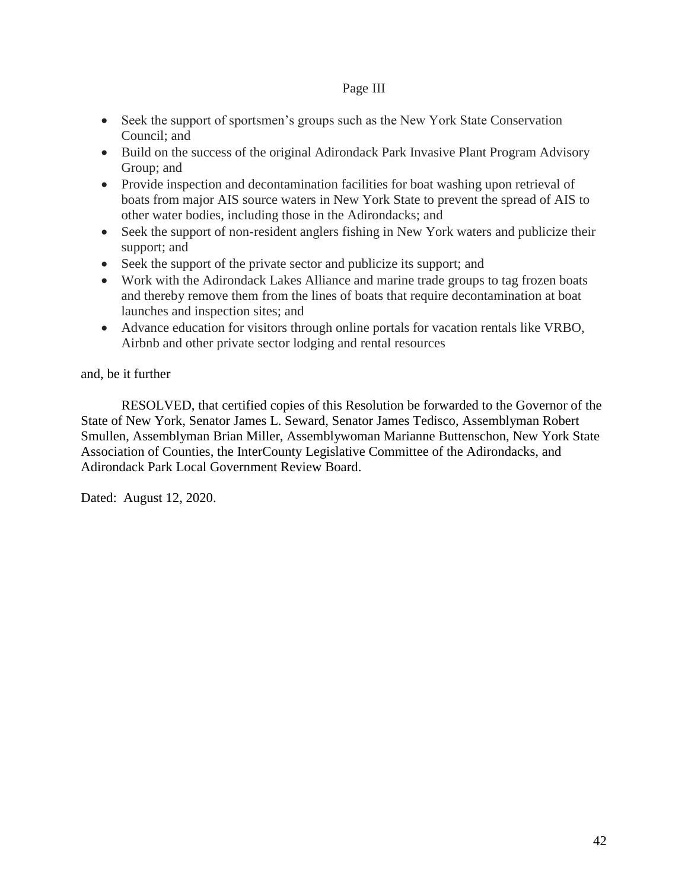## Page III

- Seek the support of sportsmen's groups such as the New York State Conservation Council; and
- Build on the success of the original Adirondack Park Invasive Plant Program Advisory Group; and
- Provide inspection and decontamination facilities for boat washing upon retrieval of boats from major AIS source waters in New York State to prevent the spread of AIS to other water bodies, including those in the Adirondacks; and
- Seek the support of non-resident anglers fishing in New York waters and publicize their support; and
- Seek the support of the private sector and publicize its support; and
- Work with the Adirondack Lakes Alliance and marine trade groups to tag frozen boats and thereby remove them from the lines of boats that require decontamination at boat launches and inspection sites; and
- Advance education for visitors through online portals for vacation rentals like VRBO, Airbnb and other private sector lodging and rental resources

## and, be it further

RESOLVED, that certified copies of this Resolution be forwarded to the Governor of the State of New York, Senator James L. Seward, Senator James Tedisco, Assemblyman Robert Smullen, Assemblyman Brian Miller, Assemblywoman Marianne Buttenschon, New York State Association of Counties, the InterCounty Legislative Committee of the Adirondacks, and Adirondack Park Local Government Review Board.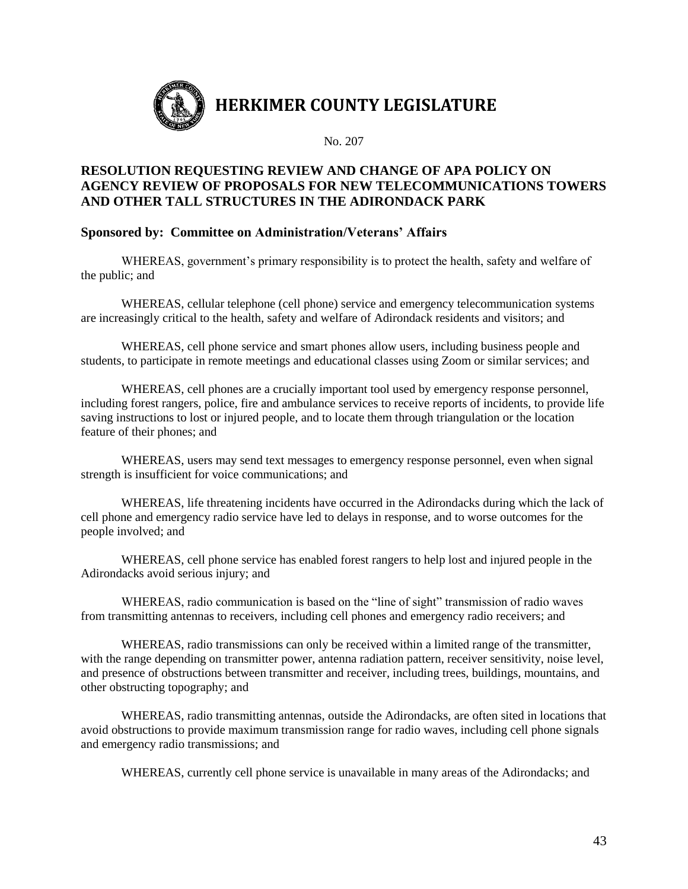

## **RESOLUTION REQUESTING REVIEW AND CHANGE OF APA POLICY ON AGENCY REVIEW OF PROPOSALS FOR NEW TELECOMMUNICATIONS TOWERS AND OTHER TALL STRUCTURES IN THE ADIRONDACK PARK**

## **Sponsored by: Committee on Administration/Veterans' Affairs**

WHEREAS, government's primary responsibility is to protect the health, safety and welfare of the public; and

WHEREAS, cellular telephone (cell phone) service and emergency telecommunication systems are increasingly critical to the health, safety and welfare of Adirondack residents and visitors; and

WHEREAS, cell phone service and smart phones allow users, including business people and students, to participate in remote meetings and educational classes using Zoom or similar services; and

WHEREAS, cell phones are a crucially important tool used by emergency response personnel, including forest rangers, police, fire and ambulance services to receive reports of incidents, to provide life saving instructions to lost or injured people, and to locate them through triangulation or the location feature of their phones; and

WHEREAS, users may send text messages to emergency response personnel, even when signal strength is insufficient for voice communications; and

WHEREAS, life threatening incidents have occurred in the Adirondacks during which the lack of cell phone and emergency radio service have led to delays in response, and to worse outcomes for the people involved; and

WHEREAS, cell phone service has enabled forest rangers to help lost and injured people in the Adirondacks avoid serious injury; and

WHEREAS, radio communication is based on the "line of sight" transmission of radio waves from transmitting antennas to receivers, including cell phones and emergency radio receivers; and

WHEREAS, radio transmissions can only be received within a limited range of the transmitter, with the range depending on transmitter power, antenna radiation pattern, receiver sensitivity, noise level, and presence of obstructions between transmitter and receiver, including trees, buildings, mountains, and other obstructing topography; and

WHEREAS, radio transmitting antennas, outside the Adirondacks, are often sited in locations that avoid obstructions to provide maximum transmission range for radio waves, including cell phone signals and emergency radio transmissions; and

WHEREAS, currently cell phone service is unavailable in many areas of the Adirondacks; and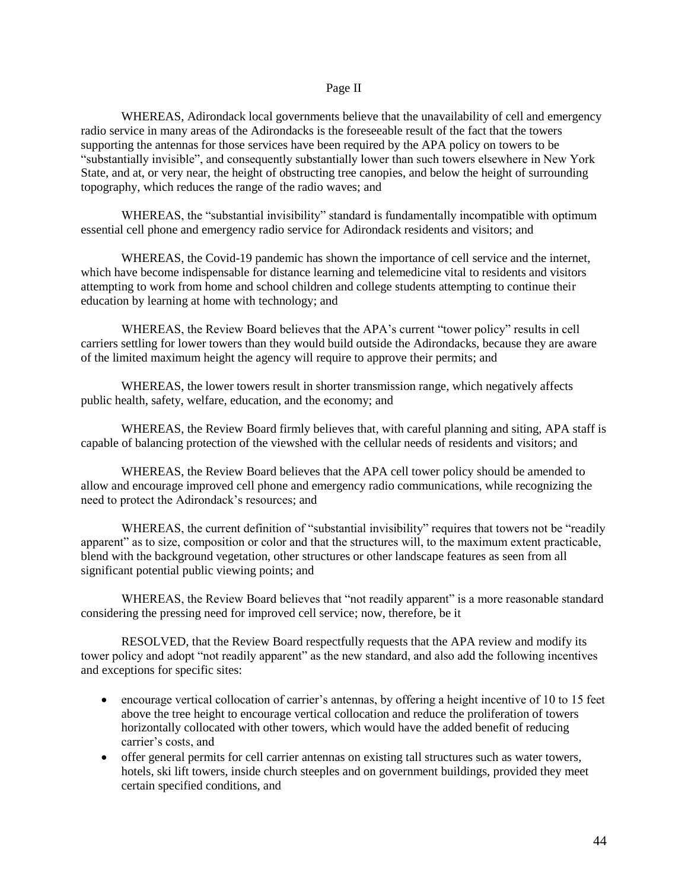#### Page II

WHEREAS, Adirondack local governments believe that the unavailability of cell and emergency radio service in many areas of the Adirondacks is the foreseeable result of the fact that the towers supporting the antennas for those services have been required by the APA policy on towers to be "substantially invisible", and consequently substantially lower than such towers elsewhere in New York State, and at, or very near, the height of obstructing tree canopies, and below the height of surrounding topography, which reduces the range of the radio waves; and

WHEREAS, the "substantial invisibility" standard is fundamentally incompatible with optimum essential cell phone and emergency radio service for Adirondack residents and visitors; and

WHEREAS, the Covid-19 pandemic has shown the importance of cell service and the internet, which have become indispensable for distance learning and telemedicine vital to residents and visitors attempting to work from home and school children and college students attempting to continue their education by learning at home with technology; and

WHEREAS, the Review Board believes that the APA's current "tower policy" results in cell carriers settling for lower towers than they would build outside the Adirondacks, because they are aware of the limited maximum height the agency will require to approve their permits; and

WHEREAS, the lower towers result in shorter transmission range, which negatively affects public health, safety, welfare, education, and the economy; and

WHEREAS, the Review Board firmly believes that, with careful planning and siting, APA staff is capable of balancing protection of the viewshed with the cellular needs of residents and visitors; and

WHEREAS, the Review Board believes that the APA cell tower policy should be amended to allow and encourage improved cell phone and emergency radio communications, while recognizing the need to protect the Adirondack's resources; and

WHEREAS, the current definition of "substantial invisibility" requires that towers not be "readily apparent" as to size, composition or color and that the structures will, to the maximum extent practicable, blend with the background vegetation, other structures or other landscape features as seen from all significant potential public viewing points; and

WHEREAS, the Review Board believes that "not readily apparent" is a more reasonable standard considering the pressing need for improved cell service; now, therefore, be it

RESOLVED, that the Review Board respectfully requests that the APA review and modify its tower policy and adopt "not readily apparent" as the new standard, and also add the following incentives and exceptions for specific sites:

- encourage vertical collocation of carrier's antennas, by offering a height incentive of 10 to 15 feet above the tree height to encourage vertical collocation and reduce the proliferation of towers horizontally collocated with other towers, which would have the added benefit of reducing carrier's costs, and
- offer general permits for cell carrier antennas on existing tall structures such as water towers, hotels, ski lift towers, inside church steeples and on government buildings, provided they meet certain specified conditions, and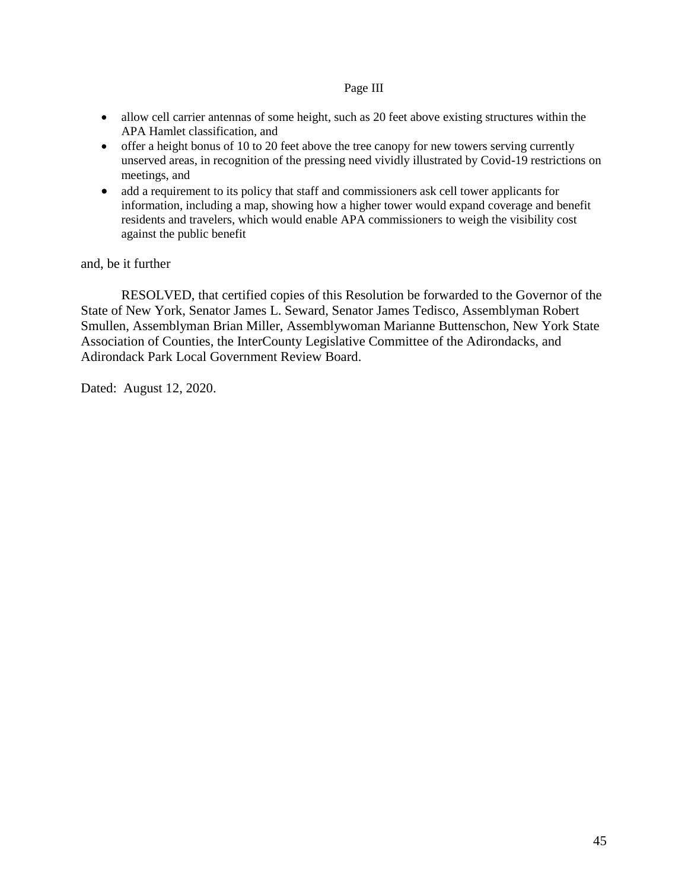#### Page III

- allow cell carrier antennas of some height, such as 20 feet above existing structures within the APA Hamlet classification, and
- offer a height bonus of 10 to 20 feet above the tree canopy for new towers serving currently unserved areas, in recognition of the pressing need vividly illustrated by Covid-19 restrictions on meetings, and
- add a requirement to its policy that staff and commissioners ask cell tower applicants for information, including a map, showing how a higher tower would expand coverage and benefit residents and travelers, which would enable APA commissioners to weigh the visibility cost against the public benefit

and, be it further

RESOLVED, that certified copies of this Resolution be forwarded to the Governor of the State of New York, Senator James L. Seward, Senator James Tedisco, Assemblyman Robert Smullen, Assemblyman Brian Miller, Assemblywoman Marianne Buttenschon, New York State Association of Counties, the InterCounty Legislative Committee of the Adirondacks, and Adirondack Park Local Government Review Board.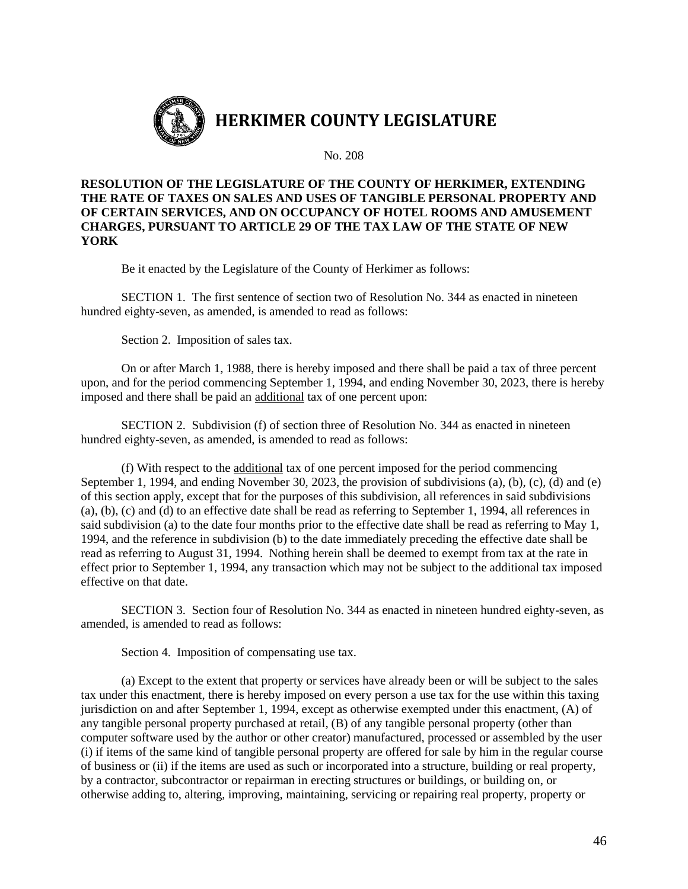

**RESOLUTION OF THE LEGISLATURE OF THE COUNTY OF HERKIMER, EXTENDING THE RATE OF TAXES ON SALES AND USES OF TANGIBLE PERSONAL PROPERTY AND OF CERTAIN SERVICES, AND ON OCCUPANCY OF HOTEL ROOMS AND AMUSEMENT CHARGES, PURSUANT TO ARTICLE 29 OF THE TAX LAW OF THE STATE OF NEW YORK**

Be it enacted by the Legislature of the County of Herkimer as follows:

SECTION 1. The first sentence of section two of Resolution No. 344 as enacted in nineteen hundred eighty-seven, as amended, is amended to read as follows:

Section 2. Imposition of sales tax.

On or after March 1, 1988, there is hereby imposed and there shall be paid a tax of three percent upon, and for the period commencing September 1, 1994, and ending November 30, 2023, there is hereby imposed and there shall be paid an additional tax of one percent upon:

SECTION 2. Subdivision (f) of section three of Resolution No. 344 as enacted in nineteen hundred eighty-seven, as amended, is amended to read as follows:

(f) With respect to the additional tax of one percent imposed for the period commencing September 1, 1994, and ending November 30, 2023, the provision of subdivisions (a), (b), (c), (d) and (e) of this section apply, except that for the purposes of this subdivision, all references in said subdivisions (a), (b), (c) and (d) to an effective date shall be read as referring to September 1, 1994, all references in said subdivision (a) to the date four months prior to the effective date shall be read as referring to May 1, 1994, and the reference in subdivision (b) to the date immediately preceding the effective date shall be read as referring to August 31, 1994. Nothing herein shall be deemed to exempt from tax at the rate in effect prior to September 1, 1994, any transaction which may not be subject to the additional tax imposed effective on that date.

SECTION 3. Section four of Resolution No. 344 as enacted in nineteen hundred eighty-seven, as amended, is amended to read as follows:

Section 4. Imposition of compensating use tax.

(a) Except to the extent that property or services have already been or will be subject to the sales tax under this enactment, there is hereby imposed on every person a use tax for the use within this taxing jurisdiction on and after September 1, 1994, except as otherwise exempted under this enactment, (A) of any tangible personal property purchased at retail, (B) of any tangible personal property (other than computer software used by the author or other creator) manufactured, processed or assembled by the user (i) if items of the same kind of tangible personal property are offered for sale by him in the regular course of business or (ii) if the items are used as such or incorporated into a structure, building or real property, by a contractor, subcontractor or repairman in erecting structures or buildings, or building on, or otherwise adding to, altering, improving, maintaining, servicing or repairing real property, property or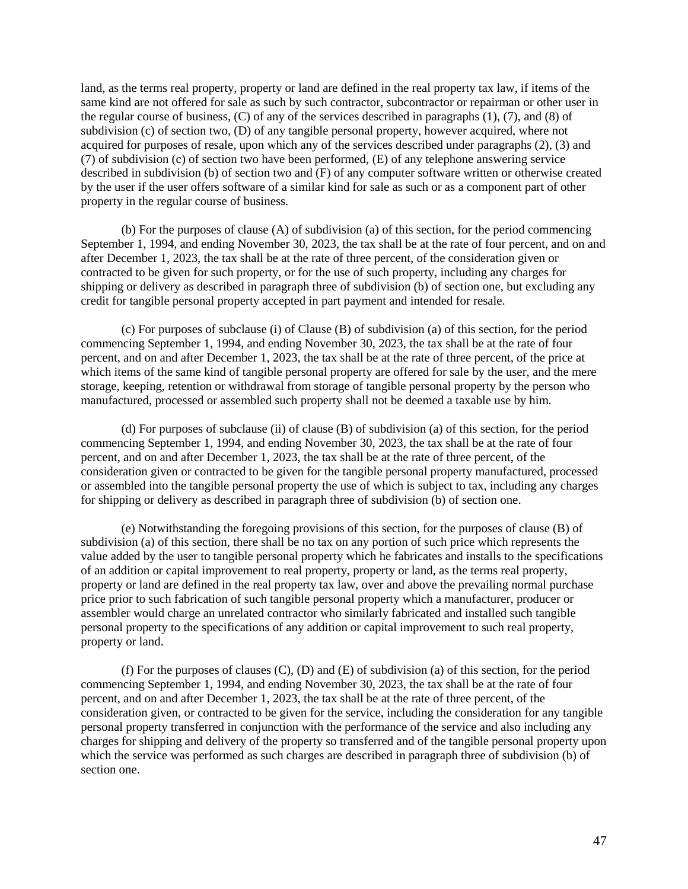land, as the terms real property, property or land are defined in the real property tax law, if items of the same kind are not offered for sale as such by such contractor, subcontractor or repairman or other user in the regular course of business, (C) of any of the services described in paragraphs (1), (7), and (8) of subdivision (c) of section two, (D) of any tangible personal property, however acquired, where not acquired for purposes of resale, upon which any of the services described under paragraphs (2), (3) and (7) of subdivision (c) of section two have been performed, (E) of any telephone answering service described in subdivision (b) of section two and (F) of any computer software written or otherwise created by the user if the user offers software of a similar kind for sale as such or as a component part of other property in the regular course of business.

(b) For the purposes of clause (A) of subdivision (a) of this section, for the period commencing September 1, 1994, and ending November 30, 2023, the tax shall be at the rate of four percent, and on and after December 1, 2023, the tax shall be at the rate of three percent, of the consideration given or contracted to be given for such property, or for the use of such property, including any charges for shipping or delivery as described in paragraph three of subdivision (b) of section one, but excluding any credit for tangible personal property accepted in part payment and intended for resale.

(c) For purposes of subclause (i) of Clause (B) of subdivision (a) of this section, for the period commencing September 1, 1994, and ending November 30, 2023, the tax shall be at the rate of four percent, and on and after December 1, 2023, the tax shall be at the rate of three percent, of the price at which items of the same kind of tangible personal property are offered for sale by the user, and the mere storage, keeping, retention or withdrawal from storage of tangible personal property by the person who manufactured, processed or assembled such property shall not be deemed a taxable use by him.

(d) For purposes of subclause (ii) of clause (B) of subdivision (a) of this section, for the period commencing September 1, 1994, and ending November 30, 2023, the tax shall be at the rate of four percent, and on and after December 1, 2023, the tax shall be at the rate of three percent, of the consideration given or contracted to be given for the tangible personal property manufactured, processed or assembled into the tangible personal property the use of which is subject to tax, including any charges for shipping or delivery as described in paragraph three of subdivision (b) of section one.

(e) Notwithstanding the foregoing provisions of this section, for the purposes of clause (B) of subdivision (a) of this section, there shall be no tax on any portion of such price which represents the value added by the user to tangible personal property which he fabricates and installs to the specifications of an addition or capital improvement to real property, property or land, as the terms real property, property or land are defined in the real property tax law, over and above the prevailing normal purchase price prior to such fabrication of such tangible personal property which a manufacturer, producer or assembler would charge an unrelated contractor who similarly fabricated and installed such tangible personal property to the specifications of any addition or capital improvement to such real property, property or land.

(f) For the purposes of clauses  $(C)$ ,  $(D)$  and  $(E)$  of subdivision (a) of this section, for the period commencing September 1, 1994, and ending November 30, 2023, the tax shall be at the rate of four percent, and on and after December 1, 2023, the tax shall be at the rate of three percent, of the consideration given, or contracted to be given for the service, including the consideration for any tangible personal property transferred in conjunction with the performance of the service and also including any charges for shipping and delivery of the property so transferred and of the tangible personal property upon which the service was performed as such charges are described in paragraph three of subdivision (b) of section one.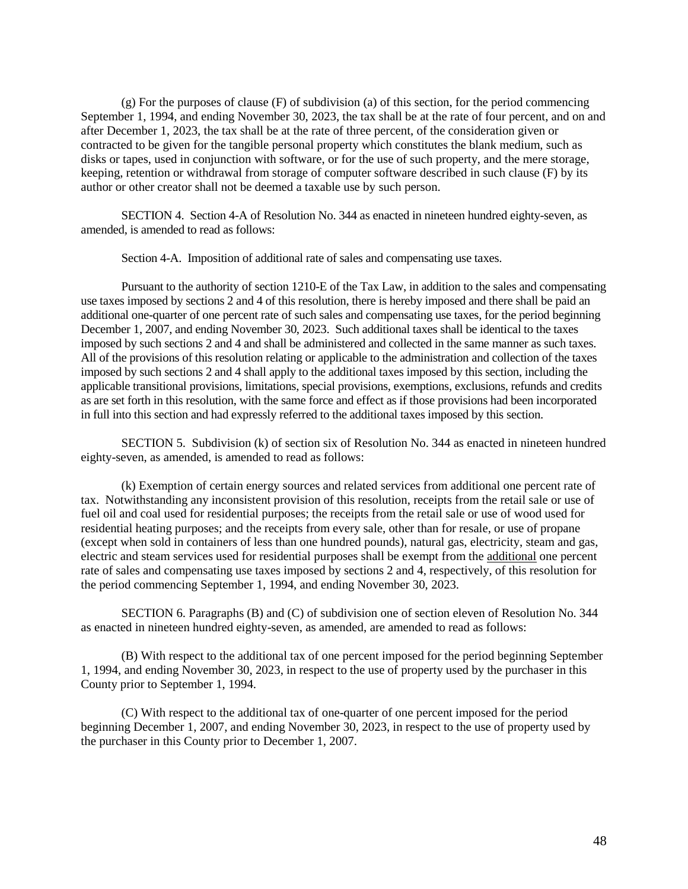(g) For the purposes of clause (F) of subdivision (a) of this section, for the period commencing September 1, 1994, and ending November 30, 2023, the tax shall be at the rate of four percent, and on and after December 1, 2023, the tax shall be at the rate of three percent, of the consideration given or contracted to be given for the tangible personal property which constitutes the blank medium, such as disks or tapes, used in conjunction with software, or for the use of such property, and the mere storage, keeping, retention or withdrawal from storage of computer software described in such clause (F) by its author or other creator shall not be deemed a taxable use by such person.

SECTION 4. Section 4-A of Resolution No. 344 as enacted in nineteen hundred eighty-seven, as amended, is amended to read as follows:

Section 4-A. Imposition of additional rate of sales and compensating use taxes.

Pursuant to the authority of section 1210-E of the Tax Law, in addition to the sales and compensating use taxes imposed by sections 2 and 4 of this resolution, there is hereby imposed and there shall be paid an additional one-quarter of one percent rate of such sales and compensating use taxes, for the period beginning December 1, 2007, and ending November 30, 2023. Such additional taxes shall be identical to the taxes imposed by such sections 2 and 4 and shall be administered and collected in the same manner as such taxes. All of the provisions of this resolution relating or applicable to the administration and collection of the taxes imposed by such sections 2 and 4 shall apply to the additional taxes imposed by this section, including the applicable transitional provisions, limitations, special provisions, exemptions, exclusions, refunds and credits as are set forth in this resolution, with the same force and effect as if those provisions had been incorporated in full into this section and had expressly referred to the additional taxes imposed by this section.

SECTION 5. Subdivision (k) of section six of Resolution No. 344 as enacted in nineteen hundred eighty-seven, as amended, is amended to read as follows:

(k) Exemption of certain energy sources and related services from additional one percent rate of tax. Notwithstanding any inconsistent provision of this resolution, receipts from the retail sale or use of fuel oil and coal used for residential purposes; the receipts from the retail sale or use of wood used for residential heating purposes; and the receipts from every sale, other than for resale, or use of propane (except when sold in containers of less than one hundred pounds), natural gas, electricity, steam and gas, electric and steam services used for residential purposes shall be exempt from the additional one percent rate of sales and compensating use taxes imposed by sections 2 and 4, respectively, of this resolution for the period commencing September 1, 1994, and ending November 30, 2023.

SECTION 6. Paragraphs (B) and (C) of subdivision one of section eleven of Resolution No. 344 as enacted in nineteen hundred eighty-seven, as amended, are amended to read as follows:

(B) With respect to the additional tax of one percent imposed for the period beginning September 1, 1994, and ending November 30, 2023, in respect to the use of property used by the purchaser in this County prior to September 1, 1994.

(C) With respect to the additional tax of one-quarter of one percent imposed for the period beginning December 1, 2007, and ending November 30, 2023, in respect to the use of property used by the purchaser in this County prior to December 1, 2007.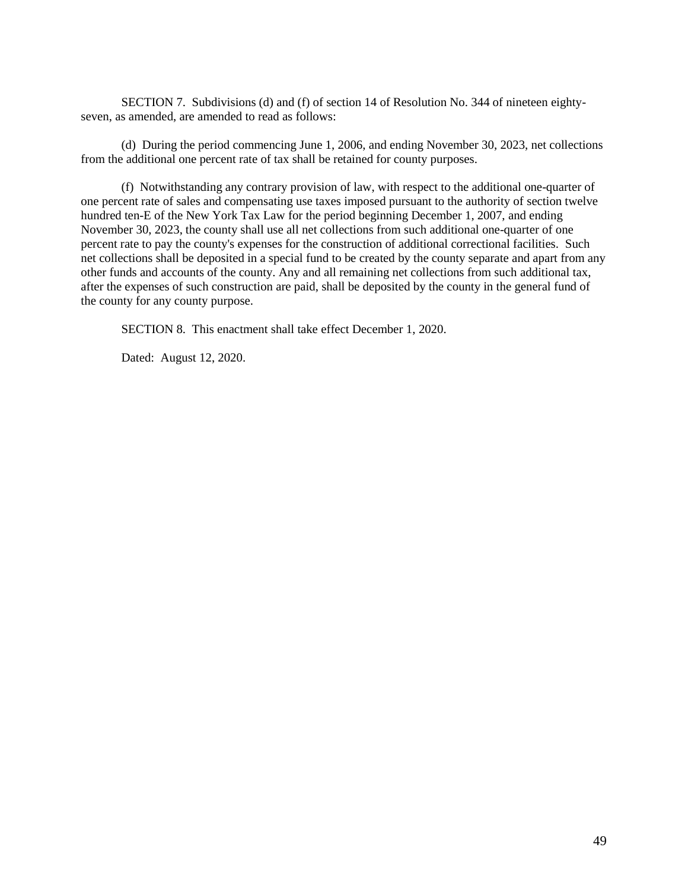SECTION 7. Subdivisions (d) and (f) of section 14 of Resolution No. 344 of nineteen eightyseven, as amended, are amended to read as follows:

(d) During the period commencing June 1, 2006, and ending November 30, 2023, net collections from the additional one percent rate of tax shall be retained for county purposes.

(f) Notwithstanding any contrary provision of law, with respect to the additional one-quarter of one percent rate of sales and compensating use taxes imposed pursuant to the authority of section twelve hundred ten-E of the New York Tax Law for the period beginning December 1, 2007, and ending November 30, 2023, the county shall use all net collections from such additional one-quarter of one percent rate to pay the county's expenses for the construction of additional correctional facilities. Such net collections shall be deposited in a special fund to be created by the county separate and apart from any other funds and accounts of the county. Any and all remaining net collections from such additional tax, after the expenses of such construction are paid, shall be deposited by the county in the general fund of the county for any county purpose.

SECTION 8. This enactment shall take effect December 1, 2020.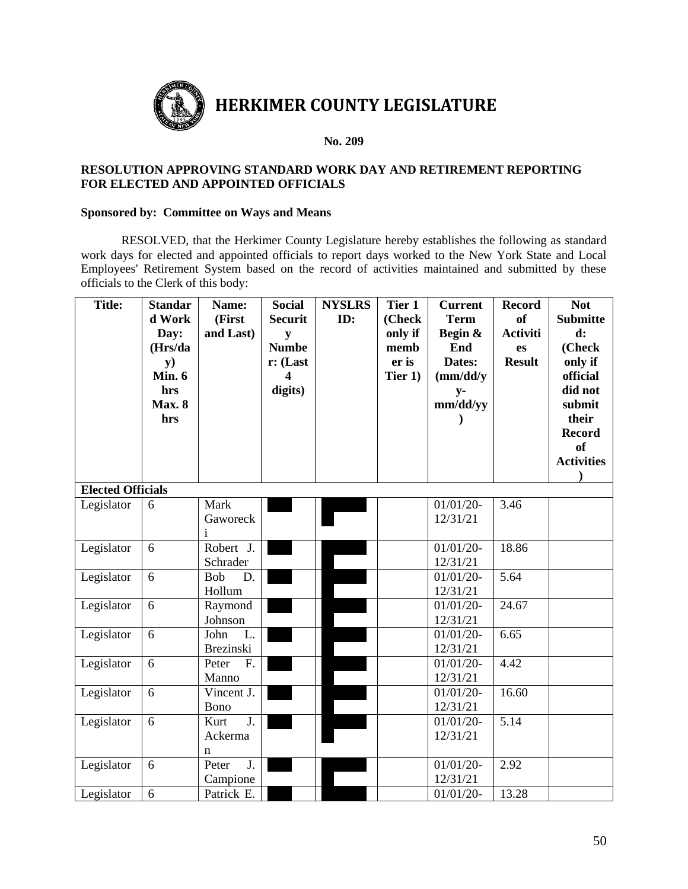

#### **RESOLUTION APPROVING STANDARD WORK DAY AND RETIREMENT REPORTING FOR ELECTED AND APPOINTED OFFICIALS**

#### **Sponsored by: Committee on Ways and Means**

RESOLVED, that the Herkimer County Legislature hereby establishes the following as standard work days for elected and appointed officials to report days worked to the New York State and Local Employees' Retirement System based on the record of activities maintained and submitted by these officials to the Clerk of this body:

| <b>Title:</b>            | <b>Standar</b><br>d Work<br>Day:<br>(Hrs/da<br>${\bf y})$<br>Min. 6<br>hrs<br><b>Max. 8</b><br>hrs | Name:<br>(First<br>and Last)             | <b>Social</b><br><b>Securit</b><br>y<br><b>Numbe</b><br>$r:$ (Last<br>digits) | <b>NYSLRS</b><br>ID: | Tier 1<br>(Check<br>only if<br>memb<br>er is<br>Tier 1) | <b>Current</b><br><b>Term</b><br>Begin &<br>End<br>Dates:<br>(mm/dd/y)<br>$y-$<br>mm/dd/yy | <b>Record</b><br>of<br><b>Activiti</b><br>es<br><b>Result</b> | <b>Not</b><br><b>Submitte</b><br>$\mathbf{d}$ :<br>(Check<br>only if<br>official<br>did not<br>submit<br>their<br><b>Record</b><br><b>of</b><br><b>Activities</b> |
|--------------------------|----------------------------------------------------------------------------------------------------|------------------------------------------|-------------------------------------------------------------------------------|----------------------|---------------------------------------------------------|--------------------------------------------------------------------------------------------|---------------------------------------------------------------|-------------------------------------------------------------------------------------------------------------------------------------------------------------------|
| <b>Elected Officials</b> |                                                                                                    |                                          |                                                                               |                      |                                                         |                                                                                            |                                                               |                                                                                                                                                                   |
| Legislator               | 6                                                                                                  | Mark<br>Gaworeck<br>$\mathbf{i}$         |                                                                               |                      |                                                         | $01/01/20$ -<br>12/31/21                                                                   | 3.46                                                          |                                                                                                                                                                   |
| Legislator               | 6                                                                                                  | Robert J.<br>Schrader                    |                                                                               |                      |                                                         | $01/01/20$ -<br>12/31/21                                                                   | 18.86                                                         |                                                                                                                                                                   |
| Legislator               | 6                                                                                                  | Bob<br>D.<br>Hollum                      |                                                                               |                      |                                                         | $01/01/20$ -<br>12/31/21                                                                   | 5.64                                                          |                                                                                                                                                                   |
| Legislator               | 6                                                                                                  | Raymond<br>Johnson                       |                                                                               |                      |                                                         | $01/01/20$ -<br>12/31/21                                                                   | 24.67                                                         |                                                                                                                                                                   |
| Legislator               | 6                                                                                                  | John<br>L.<br><b>Brezinski</b>           |                                                                               |                      |                                                         | $01/01/20$ -<br>12/31/21                                                                   | 6.65                                                          |                                                                                                                                                                   |
| Legislator               | 6                                                                                                  | Peter<br>F.<br>Manno                     |                                                                               |                      |                                                         | $01/01/20$ -<br>12/31/21                                                                   | 4.42                                                          |                                                                                                                                                                   |
| Legislator               | 6                                                                                                  | Vincent J.<br>Bono                       |                                                                               |                      |                                                         | $01/01/20$ -<br>12/31/21                                                                   | 16.60                                                         |                                                                                                                                                                   |
| Legislator               | 6                                                                                                  | $\overline{J}$ .<br>Kurt<br>Ackerma<br>n |                                                                               |                      |                                                         | $01/01/20$ -<br>12/31/21                                                                   | 5.14                                                          |                                                                                                                                                                   |
| Legislator               | 6                                                                                                  | Peter<br>J.<br>Campione                  |                                                                               |                      |                                                         | $01/01/20$ -<br>12/31/21                                                                   | 2.92                                                          |                                                                                                                                                                   |
| Legislator               | 6                                                                                                  | Patrick E.                               |                                                                               |                      |                                                         | $01/01/20$ -                                                                               | 13.28                                                         |                                                                                                                                                                   |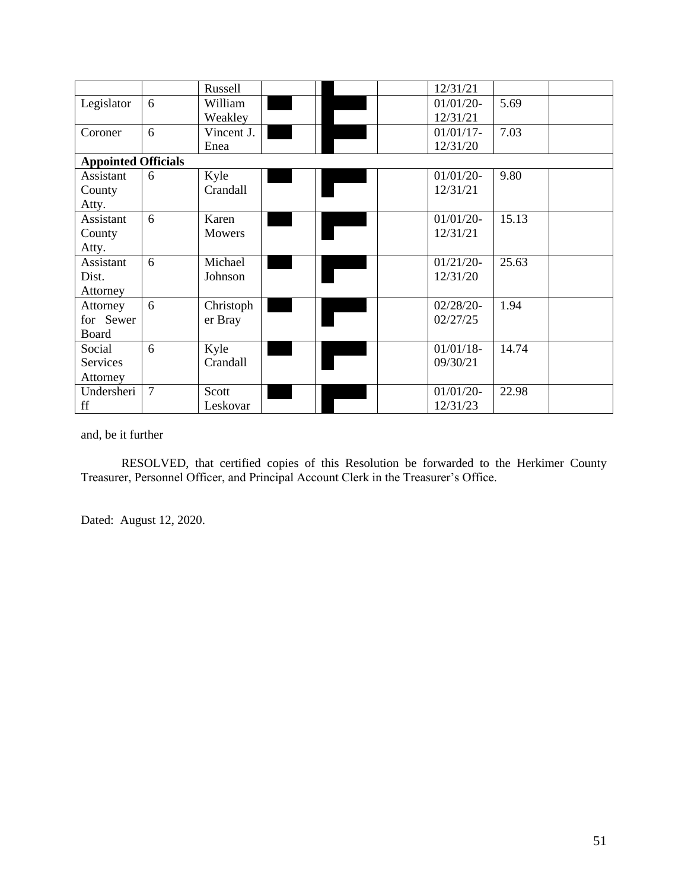|                            |        | Russell    |  | 12/31/21     |       |  |
|----------------------------|--------|------------|--|--------------|-------|--|
| Legislator                 | 6      | William    |  | $01/01/20$ - | 5.69  |  |
|                            |        | Weakley    |  | 12/31/21     |       |  |
| Coroner                    | 6      | Vincent J. |  | $01/01/17$ - | 7.03  |  |
|                            |        | Enea       |  | 12/31/20     |       |  |
| <b>Appointed Officials</b> |        |            |  |              |       |  |
| Assistant                  | 6      | Kyle       |  | $01/01/20$ - | 9.80  |  |
| County                     |        | Crandall   |  | 12/31/21     |       |  |
| Atty.                      |        |            |  |              |       |  |
| Assistant                  | 6      | Karen      |  | $01/01/20$ - | 15.13 |  |
| County                     |        | Mowers     |  | 12/31/21     |       |  |
| Atty.                      |        |            |  |              |       |  |
| Assistant                  | 6      | Michael    |  | $01/21/20-$  | 25.63 |  |
| Dist.                      |        | Johnson    |  | 12/31/20     |       |  |
| Attorney                   |        |            |  |              |       |  |
| Attorney                   | 6      | Christoph  |  | $02/28/20-$  | 1.94  |  |
| for Sewer                  |        | er Bray    |  | 02/27/25     |       |  |
| Board                      |        |            |  |              |       |  |
| Social                     | 6      | Kyle       |  | $01/01/18$ - | 14.74 |  |
| Services                   |        | Crandall   |  | 09/30/21     |       |  |
| Attorney                   |        |            |  |              |       |  |
| Undersheri                 | $\tau$ | Scott      |  | $01/01/20-$  | 22.98 |  |
| ff                         |        | Leskovar   |  | 12/31/23     |       |  |

#### and, be it further

RESOLVED, that certified copies of this Resolution be forwarded to the Herkimer County Treasurer, Personnel Officer, and Principal Account Clerk in the Treasurer's Office.